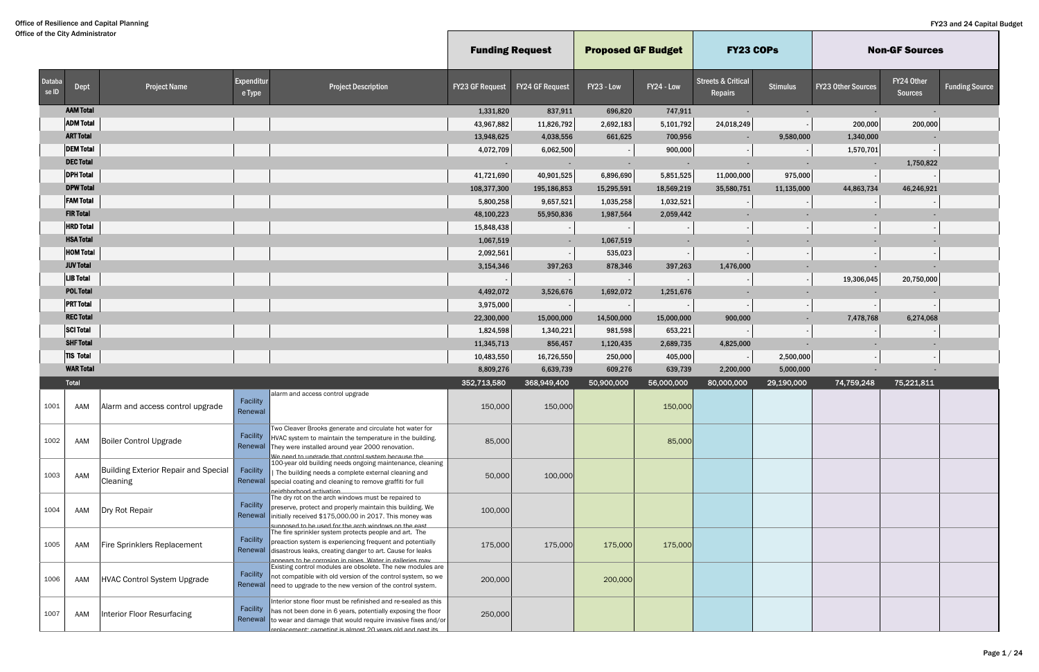|                 |                  |                                                                |                      |                                                                                                                                                                                                                                                                    | <b>Funding Request</b> |                          | <b>Proposed GF Budget</b> |            | <b>FY23 COPS</b>                         |                 |                           | <b>Non-GF Sources</b>        |                       |
|-----------------|------------------|----------------------------------------------------------------|----------------------|--------------------------------------------------------------------------------------------------------------------------------------------------------------------------------------------------------------------------------------------------------------------|------------------------|--------------------------|---------------------------|------------|------------------------------------------|-----------------|---------------------------|------------------------------|-----------------------|
| Databa<br>se ID | Dept             | <b>Project Name</b>                                            | Expenditur<br>e Type | <b>Project Description</b>                                                                                                                                                                                                                                         | <b>FY23 GF Request</b> | <b>FY24 GF Request</b>   | FY23 - Low                | FY24 - Low | <b>Streets &amp; Critical</b><br>Repairs | <b>Stimulus</b> | <b>FY23 Other Sources</b> | FY24 Other<br><b>Sources</b> | <b>Funding Source</b> |
|                 | <b>AAM Total</b> |                                                                |                      |                                                                                                                                                                                                                                                                    | 1,331,820              | 837,911                  | 696,820                   | 747,911    | $\sim$                                   |                 |                           |                              |                       |
|                 | <b>ADM Total</b> |                                                                |                      |                                                                                                                                                                                                                                                                    | 43,967,882             | 11,826,792               | 2,692,183                 | 5,101,792  | 24,018,249                               |                 | 200,000                   | 200,000                      |                       |
|                 | <b>ART Total</b> |                                                                |                      |                                                                                                                                                                                                                                                                    | 13,948,625             | 4,038,556                | 661,625                   | 700,956    |                                          | 9,580,000       | 1,340,000                 |                              |                       |
|                 | <b>DEM Total</b> |                                                                |                      |                                                                                                                                                                                                                                                                    | 4,072,709              | 6,062,500                |                           | 900,000    |                                          |                 | 1,570,701                 |                              |                       |
|                 | <b>DEC Total</b> |                                                                |                      |                                                                                                                                                                                                                                                                    |                        |                          |                           |            |                                          |                 |                           | 1,750,822                    |                       |
|                 | <b>DPH Total</b> |                                                                |                      |                                                                                                                                                                                                                                                                    | 41,721,690             | 40,901,525               | 6,896,690                 | 5,851,525  | 11,000,000                               | 975,000         |                           |                              |                       |
|                 | <b>DPW Total</b> |                                                                |                      |                                                                                                                                                                                                                                                                    | 108,377,300            | 195,186,853              | 15,295,591                | 18,569,219 | 35,580,751                               | 11,135,000      | 44,863,734                | 46,246,921                   |                       |
|                 | <b>FAM Total</b> |                                                                |                      |                                                                                                                                                                                                                                                                    | 5,800,258              | 9,657,521                | 1,035,258                 | 1,032,521  |                                          |                 |                           |                              |                       |
|                 | <b>FIR Total</b> |                                                                |                      |                                                                                                                                                                                                                                                                    | 48,100,223             | 55,950,836               | 1,987,564                 | 2,059,442  |                                          |                 |                           |                              |                       |
|                 | <b>HRD Total</b> |                                                                |                      |                                                                                                                                                                                                                                                                    | 15,848,438             |                          |                           |            |                                          |                 |                           |                              |                       |
|                 | <b>HSA Total</b> |                                                                |                      |                                                                                                                                                                                                                                                                    | 1,067,519              | $\overline{\phantom{a}}$ | 1,067,519                 |            |                                          |                 |                           |                              |                       |
|                 | <b>HOM Total</b> |                                                                |                      |                                                                                                                                                                                                                                                                    | 2,092,561              |                          | 535,023                   |            |                                          |                 |                           |                              |                       |
|                 | <b>JUV Total</b> |                                                                |                      |                                                                                                                                                                                                                                                                    | 3,154,346              | 397,263                  | 878,346                   | 397,263    | 1,476,000                                |                 |                           |                              |                       |
|                 | <b>LIB</b> Total |                                                                |                      |                                                                                                                                                                                                                                                                    |                        |                          |                           |            |                                          |                 | 19,306,045                | 20,750,000                   |                       |
|                 | <b>POL Total</b> |                                                                |                      |                                                                                                                                                                                                                                                                    | 4,492,072              | 3,526,676                | 1,692,072                 | 1,251,676  |                                          |                 |                           |                              |                       |
|                 | <b>PRT Total</b> |                                                                |                      |                                                                                                                                                                                                                                                                    | 3,975,000              |                          |                           |            |                                          |                 |                           |                              |                       |
|                 | <b>REC Total</b> |                                                                |                      |                                                                                                                                                                                                                                                                    | 22,300,000             | 15,000,000               | 14,500,000                | 15,000,000 | 900,000                                  |                 | 7,478,768                 | 6,274,068                    |                       |
|                 | <b>SCI Total</b> |                                                                |                      |                                                                                                                                                                                                                                                                    | 1,824,598              | 1,340,221                | 981,598                   | 653,221    |                                          |                 |                           |                              |                       |
|                 | <b>SHF Total</b> |                                                                |                      |                                                                                                                                                                                                                                                                    | 11,345,713             | 856,457                  | 1,120,435                 | 2,689,735  | 4,825,000                                |                 |                           |                              |                       |
|                 | <b>TIS Total</b> |                                                                |                      |                                                                                                                                                                                                                                                                    | 10,483,550             | 16,726,550               | 250,000                   | 405,000    |                                          | 2,500,000       |                           |                              |                       |
|                 | <b>WAR Total</b> |                                                                |                      |                                                                                                                                                                                                                                                                    | 8,809,276              | 6,639,739                | 609,276                   | 639,739    | 2,200,000                                | 5,000,000       |                           |                              |                       |
|                 | Total            |                                                                |                      |                                                                                                                                                                                                                                                                    | 352,713,580            | 368,949,400              | 50,900,000                | 56,000,000 | 80,000,000                               | 29,190,000      | 74,759,248                | 75,221,811                   |                       |
| 1001            | AAM              | Alarm and access control upgrade                               | Facility<br>Renewal  | alarm and access control upgrade                                                                                                                                                                                                                                   | 150,000                | 150,000                  |                           | 150,000    |                                          |                 |                           |                              |                       |
| 1002            | AAM              | <b>Boiler Control Upgrade</b>                                  | Facility<br>Renewal  | Two Cleaver Brooks generate and circulate hot water for<br>HVAC system to maintain the temperature in the building.<br>They were installed around year 2000 renovation.<br>We need to undrade that control system hecause the                                      | 85,000                 |                          |                           | 85,000     |                                          |                 |                           |                              |                       |
| 1003            | AAM              | <b>Building Exterior Repair and Special</b><br><b>Cleaning</b> | Facility             | 100-year old building needs ongoing maintenance, cleaning<br>The building needs a complete external cleaning and<br>Renewal special coating and cleaning to remove graffiti for full<br>neidhhorhood activation                                                    | 50,000                 | 100,000                  |                           |            |                                          |                 |                           |                              |                       |
| 1004            | AAM              | Dry Rot Repair                                                 | Facility             | The dry rot on the arch windows must be repaired to<br>preserve, protect and properly maintain this building. We<br>Renewal initially received \$175,000.00 in 2017. This money was<br>sunnosed to be used for the arch windows on the east                        | 100,000                |                          |                           |            |                                          |                 |                           |                              |                       |
| 1005            | AAM              | <b>Fire Sprinklers Replacement</b>                             | Facility<br>Renewal  | The fire sprinkler system protects people and art. The<br>preaction system is experiencing frequent and potentially<br>disastrous leaks, creating danger to art. Cause for leaks<br>annears to he corrosion in nines. Water in galleries may                       | 175,000                | 175,000                  | 175,000                   | 175,000    |                                          |                 |                           |                              |                       |
| 1006            | AAM              | <b>HVAC Control System Upgrade</b>                             | Facility<br>Renewal  | Existing control modules are obsolete. The new modules are<br>not compatible with old version of the control system, so we<br>need to upgrade to the new version of the control system.                                                                            | 200,000                |                          | 200,000                   |            |                                          |                 |                           |                              |                       |
| 1007            | AAM              | <b>Interior Floor Resurfacing</b>                              | Facility             | Interior stone floor must be refinished and re-sealed as this<br>has not been done in 6 years, potentially exposing the floor<br>Renewal to wear and damage that would require invasive fixes and/or<br>renlacement: carneting is almost 20 years old and nast its | 250,000                |                          |                           |            |                                          |                 |                           |                              |                       |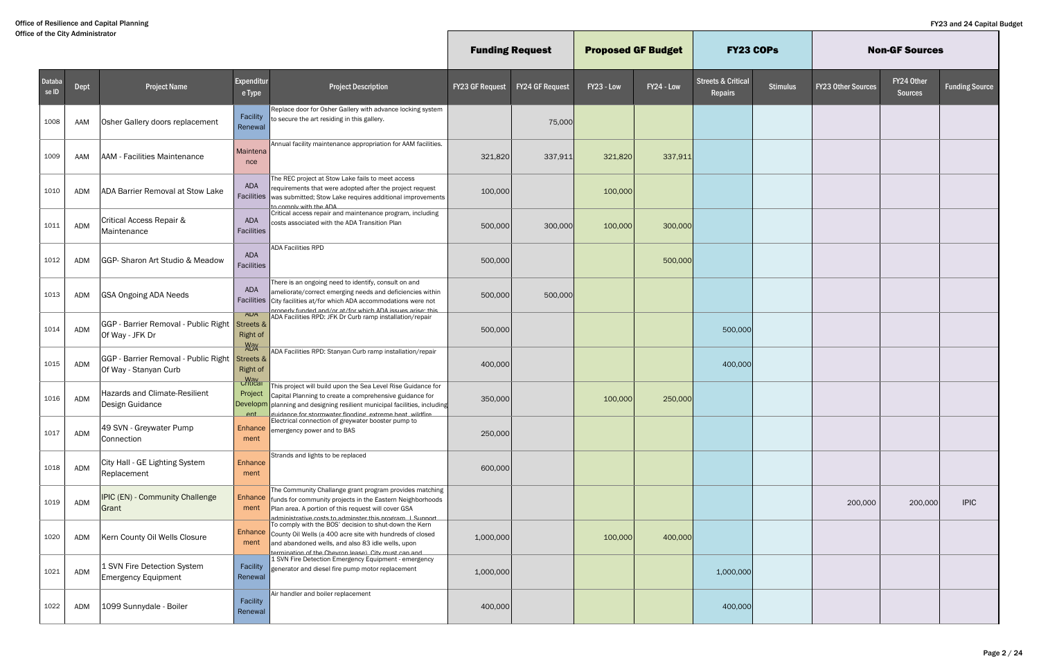|                 |            |                                                               |                                                      |                                                                                                                                                                                                                                                       | <b>Funding Request</b> |                 | <b>Proposed GF Budget</b> |            | <b>FY23 COPS</b>                         |                 |                           | <b>Non-GF Sources</b>        |                       |
|-----------------|------------|---------------------------------------------------------------|------------------------------------------------------|-------------------------------------------------------------------------------------------------------------------------------------------------------------------------------------------------------------------------------------------------------|------------------------|-----------------|---------------------------|------------|------------------------------------------|-----------------|---------------------------|------------------------------|-----------------------|
| Databa<br>se ID | Dept       | <b>Project Name</b>                                           | Expenditur<br>e Type                                 | <b>Project Description</b>                                                                                                                                                                                                                            | <b>FY23 GF Request</b> | FY24 GF Request | FY23 - Low                | FY24 - Low | <b>Streets &amp; Critical</b><br>Repairs | <b>Stimulus</b> | <b>FY23 Other Sources</b> | FY24 Other<br><b>Sources</b> | <b>Funding Source</b> |
| 1008            | AAM        | Osher Gallery doors replacement                               | Facility<br>Renewal                                  | Replace door for Osher Gallery with advance locking system<br>to secure the art residing in this gallery.                                                                                                                                             |                        | 75,000          |                           |            |                                          |                 |                           |                              |                       |
| 1009            | AAM        | <b>AAM - Facilities Maintenance</b>                           | Maintena<br>nce                                      | Annual facility maintenance appropriation for AAM facilities.                                                                                                                                                                                         | 321,820                | 337,911         | 321,820                   | 337,911    |                                          |                 |                           |                              |                       |
| 1010            | <b>ADM</b> | ADA Barrier Removal at Stow Lake                              | ADA<br>Facilities                                    | The REC project at Stow Lake fails to meet access<br>requirements that were adopted after the project request<br>was submitted; Stow Lake requires additional improvements<br>to comply with the ADA                                                  | 100,000                |                 | 100,000                   |            |                                          |                 |                           |                              |                       |
| 1011            | ADM        | Critical Access Repair &<br>Maintenance                       | ADA<br>Facilities                                    | Critical access repair and maintenance program, including<br>costs associated with the ADA Transition Plan                                                                                                                                            | 500,000                | 300,000         | 100,000                   | 300,000    |                                          |                 |                           |                              |                       |
| 1012            | ADM        | GGP-Sharon Art Studio & Meadow                                | ADA<br>Facilities                                    | ADA Facilities RPD                                                                                                                                                                                                                                    | 500,000                |                 |                           | 500,000    |                                          |                 |                           |                              |                       |
| 1013            | <b>ADM</b> | <b>GSA Ongoing ADA Needs</b>                                  | ADA<br>Facilities                                    | There is an ongoing need to identify, consult on and<br>ameliorate/correct emerging needs and deficiencies within<br>City facilities at/for which ADA accommodations were not<br>nronerly funded and/or at/for which ADA issues arise: this           | 500,000                | 500,000         |                           |            |                                          |                 |                           |                              |                       |
| 1014            | ADM        | GGP - Barrier Removal - Public Right<br>Of Way - JFK Dr       | <b>ADA</b><br>Streets &<br><b>Right of</b>           | ADA Facilities RPD: JFK Dr Curb ramp installation/repair                                                                                                                                                                                              | 500,000                |                 |                           |            | 500,000                                  |                 |                           |                              |                       |
| 1015            | ADM        | GGP - Barrier Removal - Public Right<br>Of Way - Stanyan Curb | <b>May</b><br>ADA<br>Streets &<br><b>Right of</b>    | ADA Facilities RPD: Stanyan Curb ramp installation/repair                                                                                                                                                                                             | 400,000                |                 |                           |            | 400,000                                  |                 |                           |                              |                       |
| 1016            | ADM        | <b>Hazards and Climate-Resilient</b><br>Design Guidance       | <b>May</b><br>Criticar<br>Project<br>Developm<br>ent | This project will build upon the Sea Level Rise Guidance for<br>Capital Planning to create a comprehensive guidance for<br>planning and designing resilient municipal facilities, including<br>suidance for stormwater flooding extreme heat wildfire | 350,000                |                 | 100,000                   | 250,000    |                                          |                 |                           |                              |                       |
| 1017            | ADM        | 49 SVN - Greywater Pump<br>Connection                         | Enhance<br>ment                                      | Electrical connection of greywater booster pump to<br>emergency power and to BAS                                                                                                                                                                      | 250,000                |                 |                           |            |                                          |                 |                           |                              |                       |
| 1018            | ADM        | City Hall - GE Lighting System<br>Replacement                 | Enhance<br>ment                                      | Strands and lights to be replaced                                                                                                                                                                                                                     | 600,000                |                 |                           |            |                                          |                 |                           |                              |                       |
| 1019            | ADM        | IPIC (EN) - Community Challenge<br>Grant                      | Enhance<br>ment                                      | The Community Challange grant program provides matching<br>funds for community projects in the Eastern Neighborhoods<br>Plan area. A portion of this request will cover GSA<br>administrative costs to adminster this program I Support               |                        |                 |                           |            |                                          |                 | 200,000                   | 200,000                      | <b>IPIC</b>           |
| 1020            | ADM        | Kern County Oil Wells Closure                                 | Enhance<br>ment                                      | To comply with the BOS' decision to shut-down the Kern<br>County Oil Wells (a 400 acre site with hundreds of closed<br>and abandoned wells, and also 83 idle wells, upon<br>ermination of the Chevron lease). City must can and                       | 1,000,000              |                 | 100,000                   | 400,000    |                                          |                 |                           |                              |                       |
| 1021            | ADM        | 1 SVN Fire Detection System<br><b>Emergency Equipment</b>     | Facility<br>Renewal                                  | 1 SVN Fire Detection Emergency Equipment - emergency<br>generator and diesel fire pump motor replacement                                                                                                                                              | 1,000,000              |                 |                           |            | 1,000,000                                |                 |                           |                              |                       |
| 1022            | ADM        | 1099 Sunnydale - Boiler                                       | Facility<br>Renewal                                  | Air handler and boiler replacement                                                                                                                                                                                                                    | 400,000                |                 |                           |            | 400,000                                  |                 |                           |                              |                       |

 $\mathbb{L}$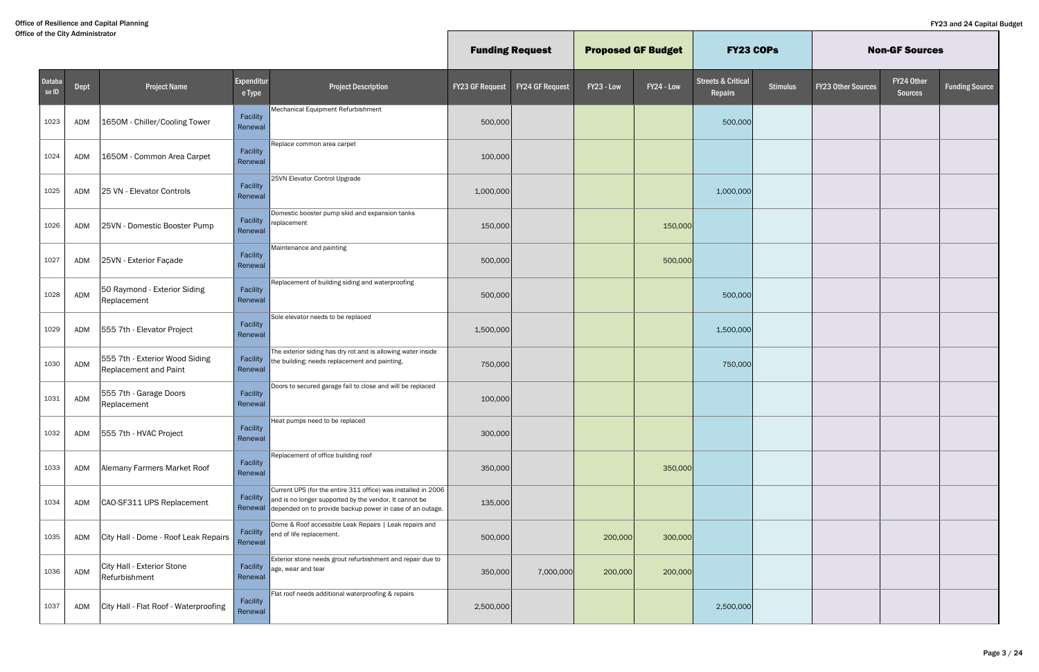|                 |      |                                                         |                      |                                                                                                                                                                                                            | <b>Funding Request</b> |                        | <b>Proposed GF Budget</b> |            | <b>FY23 COPs</b>                         |                 |                           | <b>Non-GF Sources</b>        |                       |
|-----------------|------|---------------------------------------------------------|----------------------|------------------------------------------------------------------------------------------------------------------------------------------------------------------------------------------------------------|------------------------|------------------------|---------------------------|------------|------------------------------------------|-----------------|---------------------------|------------------------------|-----------------------|
| Databa<br>se ID | Dept | <b>Project Name</b>                                     | Expenditur<br>e Type | <b>Project Description</b>                                                                                                                                                                                 | <b>FY23 GF Request</b> | <b>FY24 GF Request</b> | FY23 - Low                | FY24 - Low | <b>Streets &amp; Critical</b><br>Repairs | <b>Stimulus</b> | <b>FY23 Other Sources</b> | FY24 Other<br><b>Sources</b> | <b>Funding Source</b> |
| 1023            | ADM  | 1650M - Chiller/Cooling Tower                           | Facility<br>Renewal  | Mechanical Equipment Refurbishment                                                                                                                                                                         | 500,000                |                        |                           |            | 500,000                                  |                 |                           |                              |                       |
| 1024            | ADM  | 1650M - Common Area Carpet                              | Facility<br>Renewal  | Replace common area carpet                                                                                                                                                                                 | 100,000                |                        |                           |            |                                          |                 |                           |                              |                       |
| 1025            | ADM  | 25 VN - Elevator Controls                               | Facility<br>Renewal  | 25VN Elevator Control Upgrade                                                                                                                                                                              | 1,000,000              |                        |                           |            | 1,000,000                                |                 |                           |                              |                       |
| 1026            | ADM  | 25VN - Domestic Booster Pump                            | Facility<br>Renewal  | Domestic booster pump skid and expansion tanks<br>replacement                                                                                                                                              | 150,000                |                        |                           | 150,000    |                                          |                 |                           |                              |                       |
| 1027            | ADM  | 25VN - Exterior Façade                                  | Facility<br>Renewal  | Maintenance and painting                                                                                                                                                                                   | 500,000                |                        |                           | 500,000    |                                          |                 |                           |                              |                       |
| 1028            | ADM  | 50 Raymond - Exterior Siding<br>Replacement             | Facility<br>Renewal  | Replacement of building siding and waterproofing                                                                                                                                                           | 500,000                |                        |                           |            | 500,000                                  |                 |                           |                              |                       |
| 1029            | ADM  | 555 7th - Elevator Project                              | Facility<br>Renewal  | Sole elevator needs to be replaced                                                                                                                                                                         | 1,500,000              |                        |                           |            | 1,500,000                                |                 |                           |                              |                       |
| 1030            | ADM  | 555 7th - Exterior Wood Siding<br>Replacement and Paint | Facility<br>Renewal  | The exterior siding has dry rot and is allowing water inside<br>the building; needs replacement and painting.                                                                                              | 750,000                |                        |                           |            | 750,000                                  |                 |                           |                              |                       |
| 1031            | ADM  | 555 7th - Garage Doors<br>Replacement                   | Facility<br>Renewal  | Doors to secured garage fail to close and will be replaced                                                                                                                                                 | 100,000                |                        |                           |            |                                          |                 |                           |                              |                       |
| 1032            | ADM  | 555 7th - HVAC Project                                  | Facility<br>Renewal  | Heat pumps need to be replaced                                                                                                                                                                             | 300,000                |                        |                           |            |                                          |                 |                           |                              |                       |
| 1033            | ADM  | Alemany Farmers Market Roof                             | Facility<br>Renewal  | Replacement of office building roof                                                                                                                                                                        | 350,000                |                        |                           | 350,000    |                                          |                 |                           |                              |                       |
| 1034            | ADM  | CAO-SF311 UPS Replacement                               |                      | Current UPS (for the entire 311 office) was installed in 2006<br>Facility $\ $ and is no longer supported by the vendor. It cannot be<br>Renewal depended on to provide backup power in case of an outage. | 135,000                |                        |                           |            |                                          |                 |                           |                              |                       |
| 1035            | ADM  | City Hall - Dome - Roof Leak Repairs                    | Facility<br>Renewal  | Dome & Roof accessible Leak Repairs   Leak repairs and<br>end of life replacement.                                                                                                                         | 500,000                |                        | 200,000                   | 300,000    |                                          |                 |                           |                              |                       |
| 1036            | ADM  | City Hall - Exterior Stone<br>Refurbishment             | Facility<br>Renewal  | Exterior stone needs grout refurbishment and repair due to<br>age, wear and tear                                                                                                                           | 350,000                | 7,000,000              | 200,000                   | 200,000    |                                          |                 |                           |                              |                       |
| 1037            | ADM  | City Hall - Flat Roof - Waterproofing                   | Facility<br>Renewal  | Flat roof needs additional waterproofing & repairs                                                                                                                                                         | 2,500,000              |                        |                           |            | 2,500,000                                |                 |                           |                              |                       |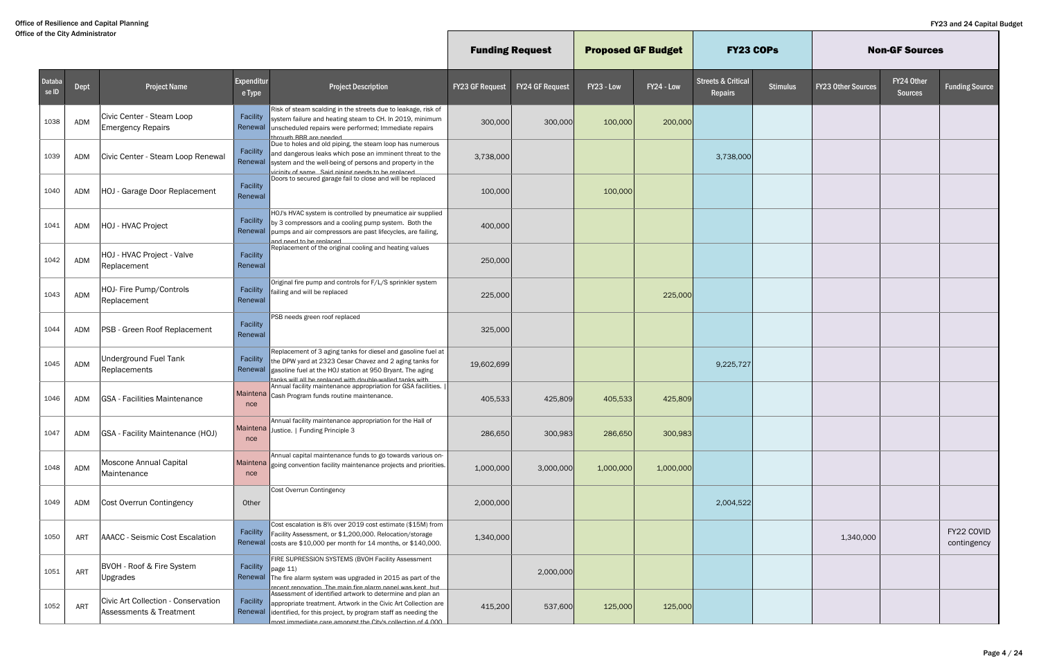|                 |            |                                                                |                      |                                                                                                                                                                                                                                                                     | <b>Funding Request</b> |                        | <b>Proposed GF Budget</b> |            | <b>FY23 COPS</b>                         |                 |                           | <b>Non-GF Sources</b>        |                           |
|-----------------|------------|----------------------------------------------------------------|----------------------|---------------------------------------------------------------------------------------------------------------------------------------------------------------------------------------------------------------------------------------------------------------------|------------------------|------------------------|---------------------------|------------|------------------------------------------|-----------------|---------------------------|------------------------------|---------------------------|
| Databa<br>se ID | Dept       | <b>Project Name</b>                                            | Expenditur<br>e Type | <b>Project Description</b>                                                                                                                                                                                                                                          | <b>FY23 GF Request</b> | <b>FY24 GF Request</b> | FY23 - Low                | FY24 - Low | <b>Streets &amp; Critical</b><br>Repairs | <b>Stimulus</b> | <b>FY23 Other Sources</b> | FY24 Other<br><b>Sources</b> | <b>Funding Source</b>     |
| 1038            | ADM        | Civic Center - Steam Loop<br><b>Emergency Repairs</b>          | Facility<br>Renewal  | Risk of steam scalding in the streets due to leakage, risk of<br>system failure and heating steam to CH. In 2019, minimum<br>unscheduled repairs were performed; Immediate repairs<br>through RRR are needed                                                        | 300,000                | 300,000                | 100,000                   | 200,000    |                                          |                 |                           |                              |                           |
| 1039            | ADM        | Civic Center - Steam Loop Renewal                              | Facility<br>Renewal  | Due to holes and old piping, the steam loop has numerous<br>and dangerous leaks which pose an imminent threat to the<br>system and the well-being of persons and property in the<br>vicinity of same Said nining needs to be replaced                               | 3,738,000              |                        |                           |            | 3,738,000                                |                 |                           |                              |                           |
| 1040            | <b>ADM</b> | HOJ - Garage Door Replacement                                  | Facility<br>Renewal  | Doors to secured garage fail to close and will be replaced                                                                                                                                                                                                          | 100,000                |                        | 100,000                   |            |                                          |                 |                           |                              |                           |
| 1041            | ADM        | HOJ - HVAC Project                                             | Facility<br>Renewal  | HOJ's HVAC system is controlled by pneumatice air supplied<br>by 3 compressors and a cooling pump system. Both the<br>pumps and air compressors are past lifecycles, are failing,<br>heasiner ed of been bor                                                        | 400,000                |                        |                           |            |                                          |                 |                           |                              |                           |
| 1042            | ADM        | HOJ - HVAC Project - Valve<br>Replacement                      | Facility<br>Renewal  | Replacement of the original cooling and heating values                                                                                                                                                                                                              | 250,000                |                        |                           |            |                                          |                 |                           |                              |                           |
| 1043            | ADM        | HOJ- Fire Pump/Controls<br>Replacement                         | Facility<br>Renewal  | Original fire pump and controls for F/L/S sprinkler system<br>failing and will be replaced                                                                                                                                                                          | 225,000                |                        |                           | 225,000    |                                          |                 |                           |                              |                           |
| 1044            | ADM        | PSB - Green Roof Replacement                                   | Facility<br>Renewal  | PSB needs green roof replaced                                                                                                                                                                                                                                       | 325,000                |                        |                           |            |                                          |                 |                           |                              |                           |
| 1045            | ADM        | <b>Underground Fuel Tank</b><br>Replacements                   | Facility<br>Renewal  | Replacement of 3 aging tanks for diesel and gasoline fuel at<br>the DPW yard at 2323 Cesar Chavez and 2 aging tanks for<br>gasoline fuel at the HOJ station at 950 Bryant. The aging<br>tanks will all he renlaced with double-walled tanks with                    | 19,602,699             |                        |                           |            | 9,225,727                                |                 |                           |                              |                           |
| 1046            | ADM        | <b>GSA - Facilities Maintenance</b>                            | nce                  | Annual facility maintenance appropriation for GSA facilities.<br>Maintena Cash Program funds routine maintenance.                                                                                                                                                   | 405,533                | 425,809                | 405,533                   | 425,809    |                                          |                 |                           |                              |                           |
| 1047            | ADM        | <b>GSA</b> - Facility Maintenance (HOJ)                        | nce                  | Annual facility maintenance appropriation for the Hall of<br>Maintena Justice.   Funding Principle 3                                                                                                                                                                | 286,650                | 300,983                | 286,650                   | 300,983    |                                          |                 |                           |                              |                           |
| 1048            | ADM        | Moscone Annual Capital<br>Maintenance                          | nce                  | Annual capital maintenance funds to go towards various on-<br>Maintena going convention facility maintenance projects and priorities.                                                                                                                               | 1,000,000              | 3,000,000              | 1,000,000                 | 1,000,000  |                                          |                 |                           |                              |                           |
| 1049            | ADM        | Cost Overrun Contingency                                       | Other                | Cost Overrun Contingency                                                                                                                                                                                                                                            | 2,000,000              |                        |                           |            | 2,004,522                                |                 |                           |                              |                           |
| 1050            | <b>ART</b> | <b>AAACC - Seismic Cost Escalation</b>                         | Facility<br>Renewal  | Cost escalation is 8% over 2019 cost estimate (\$15M) from<br>Facility Assessment, or \$1,200,000. Relocation/storage<br>costs are \$10,000 per month for 14 months, or \$140,000.                                                                                  | 1,340,000              |                        |                           |            |                                          |                 | 1,340,000                 |                              | FY22 COVID<br>contingency |
| 1051            | ART        | BVOH - Roof & Fire System<br>Upgrades                          | Facility             | FIRE SUPRESSION SYSTEMS (BVOH Facility Assessment<br>$\vert$ page 11)<br>Renewal The fire alarm system was upgraded in 2015 as part of the<br>recent renovation. The main fire alarm nanel was kent but                                                             |                        | 2,000,000              |                           |            |                                          |                 |                           |                              |                           |
| 1052            | ART        | Civic Art Collection - Conservation<br>Assessments & Treatment | Facility             | Assessment of identified artwork to determine and plan an<br>appropriate treatment. Artwork in the Civic Art Collection are<br>Renewal identified, for this project, by program staff as needing the<br>most immediate care amongst the City's collection of 4 000. | 415,200                | 537,600                | 125,000                   | 125,000    |                                          |                 |                           |                              |                           |

 $\mathbb{L}$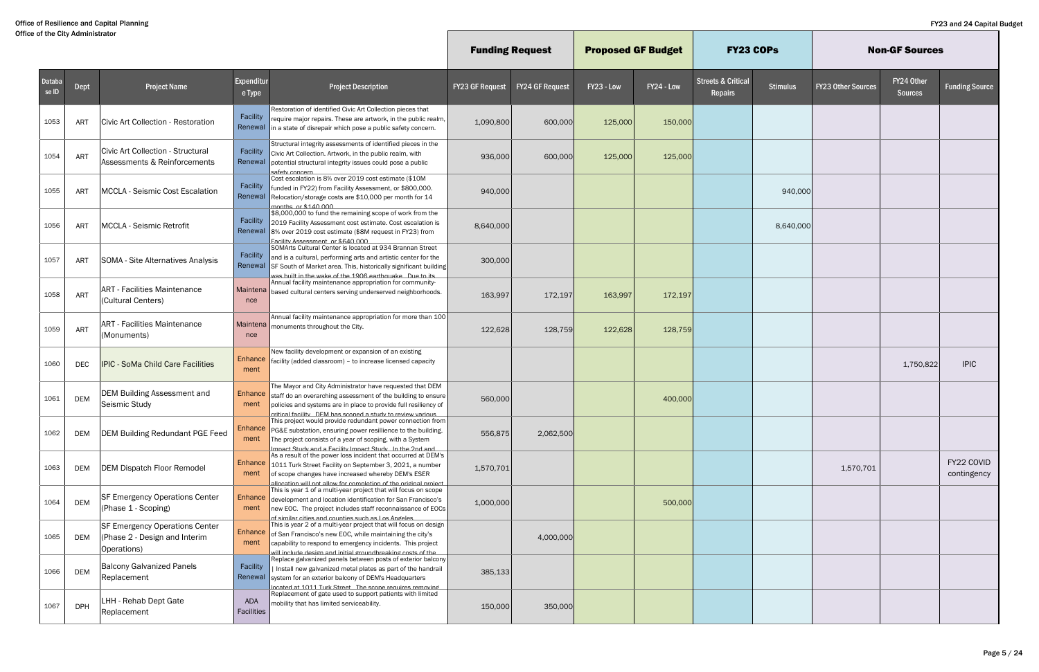|                 |            |                                                                                       |                        |                                                                                                                                                                                                                                                                    | <b>Funding Request</b> |                        | <b>Proposed GF Budget</b> |            | <b>FY23 COPS</b>                         |                 |                           | <b>Non-GF Sources</b>        |                           |
|-----------------|------------|---------------------------------------------------------------------------------------|------------------------|--------------------------------------------------------------------------------------------------------------------------------------------------------------------------------------------------------------------------------------------------------------------|------------------------|------------------------|---------------------------|------------|------------------------------------------|-----------------|---------------------------|------------------------------|---------------------------|
| Databa<br>se ID | Dept       | <b>Project Name</b>                                                                   | Expenditur<br>e Type   | <b>Project Description</b>                                                                                                                                                                                                                                         | <b>FY23 GF Request</b> | <b>FY24 GF Request</b> | FY23 - Low                | FY24 - Low | <b>Streets &amp; Critical</b><br>Repairs | <b>Stimulus</b> | <b>FY23 Other Sources</b> | FY24 Other<br><b>Sources</b> | <b>Funding Source</b>     |
| 1053            | ART        | Civic Art Collection - Restoration                                                    | Facility               | Restoration of identified Civic Art Collection pieces that<br>require major repairs. These are artwork, in the public realm,<br>Renewal in a state of disrepair which pose a public safety concern.                                                                | 1,090,800              | 600,000                | 125,000                   | 150,000    |                                          |                 |                           |                              |                           |
| 1054            | ART        | Civic Art Collection - Structural<br>Assessments & Reinforcements                     | Facility<br>Renewal    | Structural integrity assessments of identified pieces in the<br>Civic Art Collection. Artwork, in the public realm, with<br>potential structural integrity issues could pose a public<br><u>safety concern</u>                                                     | 936,000                | 600,000                | 125,000                   | 125,000    |                                          |                 |                           |                              |                           |
| 1055            | ART        | <b>MCCLA - Seismic Cost Escalation</b>                                                | Facility<br>Renewal    | Cost escalation is 8% over 2019 cost estimate (\$10M<br>funded in FY22) from Facility Assessment, or \$800,000.<br>Relocation/storage costs are \$10,000 per month for 14<br>months or \$140,000                                                                   | 940,000                |                        |                           |            |                                          | 940,000         |                           |                              |                           |
| 1056            | ART        | <b>MCCLA - Seismic Retrofit</b>                                                       | Facility               | \$8,000,000 to fund the remaining scope of work from the<br>2019 Facility Assessment cost estimate. Cost escalation is<br>Renewal 8% over 2019 cost estimate (\$8M request in FY23) from<br>Facility Assessment, or \$640,000                                      | 8,640,000              |                        |                           |            |                                          | 8,640,000       |                           |                              |                           |
| 1057            | <b>ART</b> | SOMA - Site Alternatives Analysis                                                     | Facility               | SOMArts Cultural Center is located at 934 Brannan Street<br>and is a cultural, performing arts and artistic center for the<br>Renewal SF South of Market area. This, historically significant building<br>was built in the wake of the 1906 earthouake. Due to its | 300,000                |                        |                           |            |                                          |                 |                           |                              |                           |
| 1058            | ART        | <b>ART - Facilities Maintenance</b><br>(Cultural Centers)                             | nce                    | Annual facility maintenance appropriation for community-<br>Maintena based cultural centers serving underserved neighborhoods.                                                                                                                                     | 163,997                | 172,197                | 163,997                   | 172,197    |                                          |                 |                           |                              |                           |
| 1059            | ART        | <b>ART - Facilities Maintenance</b><br>(Monuments)                                    | nce                    | Annual facility maintenance appropriation for more than 100<br>Maintena   monuments throughout the City.                                                                                                                                                           | 122,628                | 128,759                | 122,628                   | 128,759    |                                          |                 |                           |                              |                           |
| 1060            | DEC        | <b>IPIC - SoMa Child Care Facilities</b>                                              | Enhance<br>ment        | New facility development or expansion of an existing<br>facility (added classroom) - to increase licensed capacity                                                                                                                                                 |                        |                        |                           |            |                                          |                 |                           | 1,750,822                    | <b>IPIC</b>               |
| 1061            | <b>DEM</b> | DEM Building Assessment and<br>Seismic Study                                          | <b>Enhance</b><br>ment | The Mayor and City Administrator have requested that DEM<br>staff do an overarching assessment of the building to ensure<br>policies and systems are in place to provide full resiliency of<br>critical facility DEM has sconed a study to review various          | 560,000                |                        |                           | 400,000    |                                          |                 |                           |                              |                           |
| 1062            | <b>DEM</b> | <b>DEM Building Redundant PGE Feed</b>                                                | Enhance<br>ment        | This project would provide redundant power connection from [<br>PG&E substation, ensuring power resillience to the building.<br>The project consists of a year of scoping, with a System<br>Imnact Study and a Facility Imnact Study In the 2nd and                | 556,875                | 2,062,500              |                           |            |                                          |                 |                           |                              |                           |
| 1063            | <b>DEM</b> | <b>DEM Dispatch Floor Remodel</b>                                                     | Enhance<br>ment        | As a result of the power loss incident that occurred at DEM's<br>1011 Turk Street Facility on September 3, 2021, a number<br>of scope changes have increased whereby DEM's ESER<br>allocation will not allow for completion of the original project                | 1,570,701              |                        |                           |            |                                          |                 | 1,570,701                 |                              | FY22 COVID<br>contingency |
| 1064            | <b>DEM</b> | <b>SF Emergency Operations Center</b><br>(Phase 1 - Scoping)                          | Enhance<br>ment        | This is year 1 of a multi-year project that will focus on scope<br>development and location identification for San Francisco's<br>new EOC. The project includes staff reconnaissance of EOCs<br>of similar cities and counties such as Los Angeles                 | 1,000,000              |                        |                           | 500,000    |                                          |                 |                           |                              |                           |
| 1065            | DEM        | <b>SF Emergency Operations Center</b><br>(Phase 2 - Design and Interim<br>Operations) | Enhance<br>ment        | This is year 2 of a multi-year project that will focus on design<br>of San Francisco's new EOC, while maintaining the city's<br>capability to respond to emergency incidents. This project<br>will include design and initial groundbreaking costs of the          |                        | 4,000,000              |                           |            |                                          |                 |                           |                              |                           |
| 1066            | <b>DEM</b> | <b>Balcony Galvanized Panels</b><br>Replacement                                       | Facility               | Replace galvanized panels between posts of exterior balcony<br>  Install new galvanized metal plates as part of the handrail<br>Renewal system for an exterior balcony of DEM's Headquarters<br>Incated at 1011 Turk Street. The scone requires removing           | 385,133                |                        |                           |            |                                          |                 |                           |                              |                           |
| 1067            | <b>DPH</b> | LHH - Rehab Dept Gate<br>Replacement                                                  | ADA<br>Facilities      | Replacement of gate used to support patients with limited<br>mobility that has limited serviceability.                                                                                                                                                             | 150,000                | 350,000                |                           |            |                                          |                 |                           |                              |                           |

H.

Г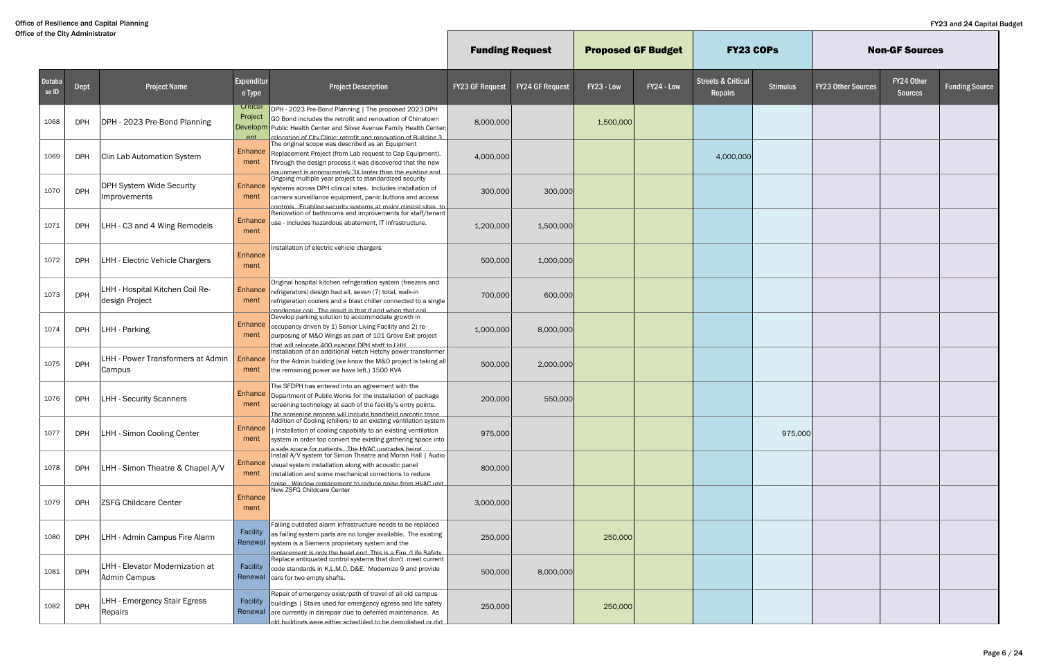|                 |            |                                                   |                                   |                                                                                                                                                                                                                                                                           | <b>Funding Request</b> |                        | <b>Proposed GF Budget</b> |            | <b>FY23 COPS</b>                         |                 |                           | <b>Non-GF Sources</b>        |                       |
|-----------------|------------|---------------------------------------------------|-----------------------------------|---------------------------------------------------------------------------------------------------------------------------------------------------------------------------------------------------------------------------------------------------------------------------|------------------------|------------------------|---------------------------|------------|------------------------------------------|-----------------|---------------------------|------------------------------|-----------------------|
| Databa<br>se ID | Dept       | <b>Project Name</b>                               | Expenditur<br>e Type              | <b>Project Description</b>                                                                                                                                                                                                                                                | <b>FY23 GF Request</b> | <b>FY24 GF Request</b> | FY23 - Low                | FY24 - Low | <b>Streets &amp; Critical</b><br>Repairs | <b>Stimulus</b> | <b>FY23 Other Sources</b> | FY24 Other<br><b>Sources</b> | <b>Funding Source</b> |
| 1068            | <b>DPH</b> | DPH - 2023 Pre-Bond Planning                      | Critical<br>Project<br><b>Ant</b> | DPH - 2023 Pre-Bond Planning   The proposed 2023 DPH<br>GO Bond includes the retrofit and renovation of Chinatown<br>Developm Public Health Center and Silver Avenue Family Health Center;<br>relocation of City Clinic: retrofit and renovation of Ruilding 3            | 8,000,000              |                        | 1,500,000                 |            |                                          |                 |                           |                              |                       |
| 1069            | <b>DPH</b> | <b>Clin Lab Automation System</b>                 | Enhance<br>ment                   | The original scope was described as an Equipment<br>Replacement Project (from Lab request to Cap Equipment).<br>Through the design process it was discovered that the new<br><u>muinment is annroximately 3X larger than the existing and</u>                             | 4,000,000              |                        |                           |            | 4,000,000                                |                 |                           |                              |                       |
| 1070            | <b>DPH</b> | DPH System Wide Security<br>Improvements          | Enhance<br>ment                   | Ongoing multiple year project to standardized security<br>systems across DPH clinical sites. Includes installation of<br>camera surveillance equipment, panic buttons and access<br>controls Fnahling security systems at maior clinical sites to                         | 300,000                | 300,000                |                           |            |                                          |                 |                           |                              |                       |
| 1071            | <b>DPH</b> | LHH - C3 and 4 Wing Remodels                      | <b>Enhance</b><br>ment            | Renovation of bathrooms and improvements for staff/tenant<br>use - includes hazardous abatement, IT infrastructure.                                                                                                                                                       | 1,200,000              | 1,500,000              |                           |            |                                          |                 |                           |                              |                       |
| 1072            | <b>DPH</b> | LHH - Electric Vehicle Chargers                   | Enhance<br>ment                   | Installation of electric vehicle chargers                                                                                                                                                                                                                                 | 500,000                | 1,000,000              |                           |            |                                          |                 |                           |                              |                       |
| 1073            | <b>DPH</b> | LHH - Hospital Kitchen Coil Re-<br>design Project | Enhance<br>ment                   | Original hospital kitchen refrigeration system (freezers and<br>refrigerators) design had all, seven (7) total, walk-in<br>refrigeration coolers and a blast chiller connected to a single<br>condenser coil The result is that if and when that coil                     | 700,000                | 600,000                |                           |            |                                          |                 |                           |                              |                       |
| 1074            | <b>DPH</b> | LHH - Parking                                     | Enhance<br>ment                   | Develop parking solution to accommodate growth in<br>occupancy driven by 1) Senior Living Facility and 2) re-<br>purposing of M&O Wings as part of 101 Grove Exit project<br>THE I of that will relocate $\Delta$                                                         | 1,000,000              | 8,000,000              |                           |            |                                          |                 |                           |                              |                       |
| 1075            | <b>DPH</b> | LHH - Power Transformers at Admin<br>Campus       | Enhance<br>ment                   | Installation of an additional Hetch Hetchy power transformer<br>for the Admin building (we know the M&O project is taking all<br>the remaining power we have left.) 1500 KVA                                                                                              | 500,000                | 2,000,000              |                           |            |                                          |                 |                           |                              |                       |
| 1076            | <b>DPH</b> | <b>LHH - Security Scanners</b>                    | Enhance<br>ment                   | The SFDPH has entered into an agreement with the<br>Department of Public Works for the installation of package<br>screening technology at each of the facility's entry points.<br>The screening process will include bandheld narcotic trace                              | 200,000                | 550,000                |                           |            |                                          |                 |                           |                              |                       |
| 1077            | <b>DPH</b> | LHH - Simon Cooling Center                        | Enhance<br>ment                   | Addition of Cooling (chillers) to an existing ventilation system<br>I Installation of cooling capability to an existing ventilation<br>system in order top convert the existing gathering space into<br>a safe snace for natients The HVAC undrades heind                 | 975,000                |                        |                           |            |                                          | 975,000         |                           |                              |                       |
| 1078            | <b>DPH</b> | LHH - Simon Theatre & Chapel A/V                  | Enhance<br>ment                   | Install A/V system for Simon Theatre and Moran Hall   Audio<br>visual system installation along with acoustic panel<br>installation and some mechanical corrections to reduce<br>noise Window renlacement to reduce noise from HVAC unit                                  | 800,000                |                        |                           |            |                                          |                 |                           |                              |                       |
| 1079            | <b>DPH</b> | <b>ZSFG Childcare Center</b>                      | Enhance<br>ment                   | New ZSFG Childcare Center                                                                                                                                                                                                                                                 | 3,000,000              |                        |                           |            |                                          |                 |                           |                              |                       |
| 1080            | <b>DPH</b> | LHH - Admin Campus Fire Alarm                     | Facility                          | Failing outdated alarm infrastructure needs to be replaced<br>as failing system parts are no longer available. The existing<br>Renewal system is a Siemens proprietary system and the<br>renlacement is only the head end. This is a Fire /I ife Safety                   | 250,000                |                        | 250,000                   |            |                                          |                 |                           |                              |                       |
| 1081            | <b>DPH</b> | LHH - Elevator Modernization at<br>Admin Campus   | Facility                          | Replace antiquated control systems that don't meet current<br>code standards in K,L,M,O, D&E. Modernize 9 and provide<br>Renewal cars for two empty shafts.                                                                                                               | 500,000                | 8,000,000              |                           |            |                                          |                 |                           |                              |                       |
| 1082            | <b>DPH</b> | LHH - Emergency Stair Egress<br>Repairs           |                                   | Repair of emergency exist/path of travel of all old campus<br>Facility buildings   Stairs used for emergency egress and life safety<br>Renewal are currently in disrepair due to deferred maintenance. As<br>hih ya hadzilamah ad at haluhadas yaritia ayaw zonihliud hla | 250,000                |                        | 250,000                   |            |                                          |                 |                           |                              |                       |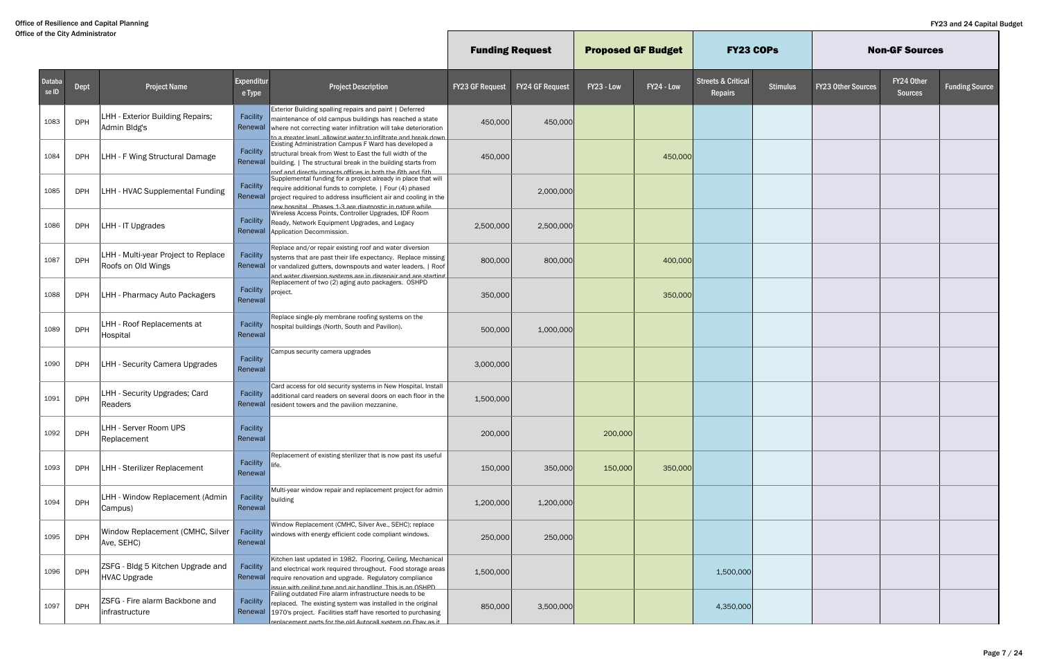|                 |            |                                                           |                      |                                                                                                                                                                                                                                                           | <b>Funding Request</b> |                        | <b>Proposed GF Budget</b> |            | <b>FY23 COPS</b>                         |                 |                           | <b>Non-GF Sources</b>        |                       |
|-----------------|------------|-----------------------------------------------------------|----------------------|-----------------------------------------------------------------------------------------------------------------------------------------------------------------------------------------------------------------------------------------------------------|------------------------|------------------------|---------------------------|------------|------------------------------------------|-----------------|---------------------------|------------------------------|-----------------------|
| Databa<br>se ID | Dept       | <b>Project Name</b>                                       | Expenditur<br>e Type | <b>Project Description</b>                                                                                                                                                                                                                                | <b>FY23 GF Request</b> | <b>FY24 GF Request</b> | FY23 - Low                | FY24 - Low | <b>Streets &amp; Critical</b><br>Repairs | <b>Stimulus</b> | <b>FY23 Other Sources</b> | FY24 Other<br><b>Sources</b> | <b>Funding Source</b> |
| 1083            | <b>DPH</b> | LHH - Exterior Building Repairs;<br>Admin Bldg's          | Facility<br>Renewal  | Exterior Building spalling repairs and paint   Deferred<br>maintenance of old campus buildings has reached a state<br>where not correcting water infiltration will take deterioration<br>to a dreater level allowind water to infiltrate and break down   | 450,000                | 450,000                |                           |            |                                          |                 |                           |                              |                       |
| 1084            | <b>DPH</b> | LHH - F Wing Structural Damage                            | Facility<br>Renewal  | Existing Administration Campus F Ward has developed a<br>structural break from West to East the full width of the<br>building.   The structural break in the building starts from<br>mof and directly imnacts offices in both the 6th and 5th             | 450,000                |                        |                           | 450,000    |                                          |                 |                           |                              |                       |
| 1085            | <b>DPH</b> | LHH - HVAC Supplemental Funding                           | Facility<br>Renewal  | Supplemental funding for a project already in place that will<br>require additional funds to complete.   Four (4) phased<br>project required to address insufficient air and cooling in the<br>new hosnital Phases 1-3 are diagnostic in nature while     |                        | 2,000,000              |                           |            |                                          |                 |                           |                              |                       |
| 1086            | <b>DPH</b> | LHH - IT Upgrades                                         | Facility<br>Renewal  | Wireless Access Points, Controller Upgrades, IDF Room<br>Ready, Network Equipment Upgrades, and Legacy<br>Application Decommission.                                                                                                                       | 2,500,000              | 2,500,000              |                           |            |                                          |                 |                           |                              |                       |
| 1087            | <b>DPH</b> | LHH - Multi-year Project to Replace<br>Roofs on Old Wings | Facility<br>Renewal  | Replace and/or repair existing roof and water diversion<br>systems that are past their life expectancy. Replace missing<br>or vandalized gutters, downspouts and water leaders.   Roof<br>and water diversion systems are in disrenair and are starting   | 800,000                | 800,000                |                           | 400,000    |                                          |                 |                           |                              |                       |
| 1088            | <b>DPH</b> | LHH - Pharmacy Auto Packagers                             | Facility<br>Renewal  | Replacement of two (2) aging auto packagers. OSHPD<br>project.                                                                                                                                                                                            | 350,000                |                        |                           | 350,000    |                                          |                 |                           |                              |                       |
| 1089            | <b>DPH</b> | LHH - Roof Replacements at<br>Hospital                    | Facility<br>Renewal  | Replace single-ply membrane roofing systems on the<br>hospital buildings (North, South and Pavilion).                                                                                                                                                     | 500,000                | 1,000,000              |                           |            |                                          |                 |                           |                              |                       |
| 1090            | <b>DPH</b> | <b>LHH - Security Camera Upgrades</b>                     | Facility<br>Renewal  | Campus security camera upgrades                                                                                                                                                                                                                           | 3,000,000              |                        |                           |            |                                          |                 |                           |                              |                       |
| 1091            | <b>DPH</b> | LHH - Security Upgrades; Card<br>Readers                  | Facility<br>Renewal  | Card access for old security systems in New Hospital. Install<br>additional card readers on several doors on each floor in the<br>resident towers and the pavilion mezzanine.                                                                             | 1,500,000              |                        |                           |            |                                          |                 |                           |                              |                       |
| 1092            | <b>DPH</b> | LHH - Server Room UPS<br>Replacement                      | Facility<br>Renewal  |                                                                                                                                                                                                                                                           | 200,000                |                        | 200,000                   |            |                                          |                 |                           |                              |                       |
| 1093            | <b>DPH</b> | LHH - Sterilizer Replacement                              | Facility<br>Renewal  | Replacement of existing sterilizer that is now past its useful                                                                                                                                                                                            | 150,000                | 350,000                | 150,000                   | 350,000    |                                          |                 |                           |                              |                       |
| 1094            | <b>DPH</b> | LHH - Window Replacement (Admin<br>Campus)                | Facility<br>Renewal  | Multi-year window repair and replacement project for admin<br>building                                                                                                                                                                                    | 1,200,000              | 1,200,000              |                           |            |                                          |                 |                           |                              |                       |
| 1095            | <b>DPH</b> | Window Replacement (CMHC, Silver<br>Ave, SEHC)            | Facility<br>Renewal  | Window Replacement (CMHC, Silver Ave., SEHC); replace<br>windows with energy efficient code compliant windows.                                                                                                                                            | 250,000                | 250,000                |                           |            |                                          |                 |                           |                              |                       |
| 1096            | <b>DPH</b> | ZSFG - Bldg 5 Kitchen Upgrade and<br>HVAC Upgrade         | Facility             | Kitchen last updated in 1982. Flooring, Ceiling, Mechanical<br>and electrical work required throughout. Food storage areas<br>Renewal require renovation and upgrade. Regulatory compliance<br>issue with ceiling type and air handling. This is an OSHPD | 1,500,000              |                        |                           |            | 1,500,000                                |                 |                           |                              |                       |
| 1097            | <b>DPH</b> | ZSFG - Fire alarm Backbone and<br>infrastructure          | Facility<br>Renewal  | Failing outdated Fire alarm infrastructure needs to be<br>replaced. The existing system was installed in the original<br>1970's project. Facilities staff have resorted to purchasing<br>renlacement narts for the old Autocall system on Fhay as it      | 850,000                | 3,500,000              |                           |            | 4,350,000                                |                 |                           |                              |                       |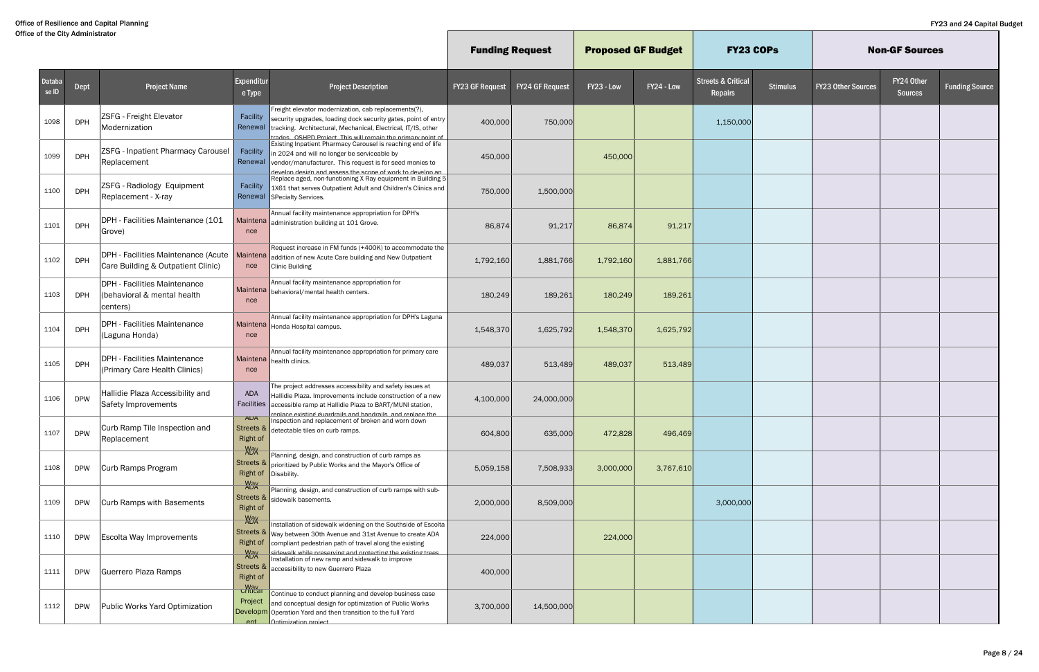|                 |            |                                                                           |                                          |                                                                                                                                                                                                                                                                  | <b>Funding Request</b> |                        | <b>Proposed GF Budget</b> |            | <b>FY23 COPs</b>                         |                 |                           | <b>Non-GF Sources</b>        |                       |
|-----------------|------------|---------------------------------------------------------------------------|------------------------------------------|------------------------------------------------------------------------------------------------------------------------------------------------------------------------------------------------------------------------------------------------------------------|------------------------|------------------------|---------------------------|------------|------------------------------------------|-----------------|---------------------------|------------------------------|-----------------------|
| Databa<br>se ID | Dept       | <b>Project Name</b>                                                       | Expenditur<br>e Type                     | <b>Project Description</b>                                                                                                                                                                                                                                       | <b>FY23 GF Request</b> | <b>FY24 GF Request</b> | FY23 - Low                | FY24 - Low | <b>Streets &amp; Critical</b><br>Repairs | <b>Stimulus</b> | <b>FY23 Other Sources</b> | FY24 Other<br><b>Sources</b> | <b>Funding Source</b> |
| 1098            | <b>DPH</b> | <b>ZSFG</b> - Freight Elevator<br>Modernization                           | Facility<br>Renewal                      | Freight elevator modernization, cab replacements(?),<br>security upgrades, loading dock security gates, point of entry<br>tracking. Architectural, Mechanical, Electrical, IT/IS, other<br>trades OSHPD Project This will remain the primary point of            | 400,000                | 750,000                |                           |            | 1,150,000                                |                 |                           |                              |                       |
| 1099            | <b>DPH</b> | <b>ZSFG</b> - Inpatient Pharmacy Carousel<br>Replacement                  | Facility<br>Renewal                      | Existing Inpatient Pharmacy Carousel is reaching end of life<br>in 2024 and will no longer be serviceable by<br>vendor/manufacturer. This request is for seed monies to<br>and assess the scone of work to develop an                                            | 450,000                |                        | 450,000                   |            |                                          |                 |                           |                              |                       |
| 1100            | <b>DPH</b> | ZSFG - Radiology Equipment<br>Replacement - X-ray                         | Facility                                 | Replace aged, non-functioning X Ray equipment in Building 5<br>1X61 that serves Outpatient Adult and Children's Clinics and<br>Renewal SPecialty Services.                                                                                                       | 750,000                | 1,500,000              |                           |            |                                          |                 |                           |                              |                       |
| 1101            | <b>DPH</b> | DPH - Facilities Maintenance (101<br>Grove)                               | nce                                      | Annual facility maintenance appropriation for DPH's<br>Maintena administration building at 101 Grove.                                                                                                                                                            | 86,874                 | 91,217                 | 86,874                    | 91,217     |                                          |                 |                           |                              |                       |
| 1102            | <b>DPH</b> | DPH - Facilities Maintenance (Acute<br>Care Building & Outpatient Clinic) | Maintena<br>nce                          | Request increase in FM funds (+400K) to accommodate the<br>addition of new Acute Care building and New Outpatient<br>Clinic Building                                                                                                                             | 1,792,160              | 1,881,766              | 1,792,160                 | 1,881,766  |                                          |                 |                           |                              |                       |
| 1103            | <b>DPH</b> | DPH - Facilities Maintenance<br>(behavioral & mental health<br>centers)   | nce                                      | Annual facility maintenance appropriation for<br>Maintena behavioral/mental health centers.                                                                                                                                                                      | 180,249                | 189,261                | 180,249                   | 189,261    |                                          |                 |                           |                              |                       |
| 1104            | <b>DPH</b> | DPH - Facilities Maintenance<br>(Laguna Honda)                            | nce                                      | Annual facility maintenance appropriation for DPH's Laguna<br>Maintena   Honda Hospital campus.                                                                                                                                                                  | 1,548,370              | 1,625,792              | 1,548,370                 | 1,625,792  |                                          |                 |                           |                              |                       |
| 1105            | <b>DPH</b> | DPH - Facilities Maintenance<br>(Primary Care Health Clinics)             | nce                                      | Annual facility maintenance appropriation for primary care<br>Maintena health clinics.                                                                                                                                                                           | 489,037                | 513,489                | 489,037                   | 513,489    |                                          |                 |                           |                              |                       |
| 1106            | <b>DPW</b> | Hallidie Plaza Accessibility and<br>Safety Improvements                   | ADA<br>Facilities                        | The project addresses accessibility and safety issues at<br>Hallidie Plaza. Improvements include construction of a new<br>accessible ramp at Hallidie Plaza to BART/MUNI station,<br>replace existing guardrails and bandrails and replace the                   | 4,100,000              | 24,000,000             |                           |            |                                          |                 |                           |                              |                       |
| 1107            | <b>DPW</b> | Curb Ramp Tile Inspection and<br>Replacement                              | <b>ADA</b><br>Right of                   | Inspection and replacement of broken and worn down<br>Streets $\&$ detectable tiles on curb ramps.                                                                                                                                                               | 604,800                | 635,000                | 472,828                   | 496,469    |                                          |                 |                           |                              |                       |
| 1108            | <b>DPW</b> | Curb Ramps Program                                                        | <b>Way</b><br>ADA<br><b>Right of</b>     | Planning, design, and construction of curb ramps as<br>Streets $\&$ prioritized by Public Works and the Mayor's Office of<br>Disability.                                                                                                                         | 5,059,158              | 7,508,933              | 3,000,000                 | 3,767,610  |                                          |                 |                           |                              |                       |
| 1109            | <b>DPW</b> | Curb Ramps with Basements                                                 | $May$ ADA<br><b>Right of</b>             | Planning, design, and construction of curb ramps with sub-<br>Streets & sidewalk basements.                                                                                                                                                                      | 2,000,000              | 8,509,000              |                           |            | 3,000,000                                |                 |                           |                              |                       |
| 1110            | <b>DPW</b> | Escolta Way Improvements                                                  | $May$ ADA<br><b>Right of</b>             | Installation of sidewalk widening on the Southside of Escolta<br>Streets & Way between 30th Avenue and 31st Avenue to create ADA<br>compliant pedestrian path of travel along the existing<br><u>sidewalk while nresen/ind and nrotectind the existind trees</u> | 224,000                |                        | 224,000                   |            |                                          |                 |                           |                              |                       |
| 1111            | <b>DPW</b> | Guerrero Plaza Ramps                                                      | <b>Way</b><br>ADA<br><b>Right of</b>     | Installation of new ramp and sidewalk to improve<br>Streets & accessibility to new Guerrero Plaza                                                                                                                                                                | 400,000                |                        |                           |            |                                          |                 |                           |                              |                       |
| 1112            | <b>DPW</b> | Public Works Yard Optimization                                            | Way<br>Critical<br>Project<br>$ext{ent}$ | Continue to conduct planning and develop business case<br>and conceptual design for optimization of Public Works<br>Developm Operation Yard and then transition to the full Yard<br><b>Ontimization project</b>                                                  | 3,700,000              | 14,500,000             |                           |            |                                          |                 |                           |                              |                       |

 $\mathbb{L}$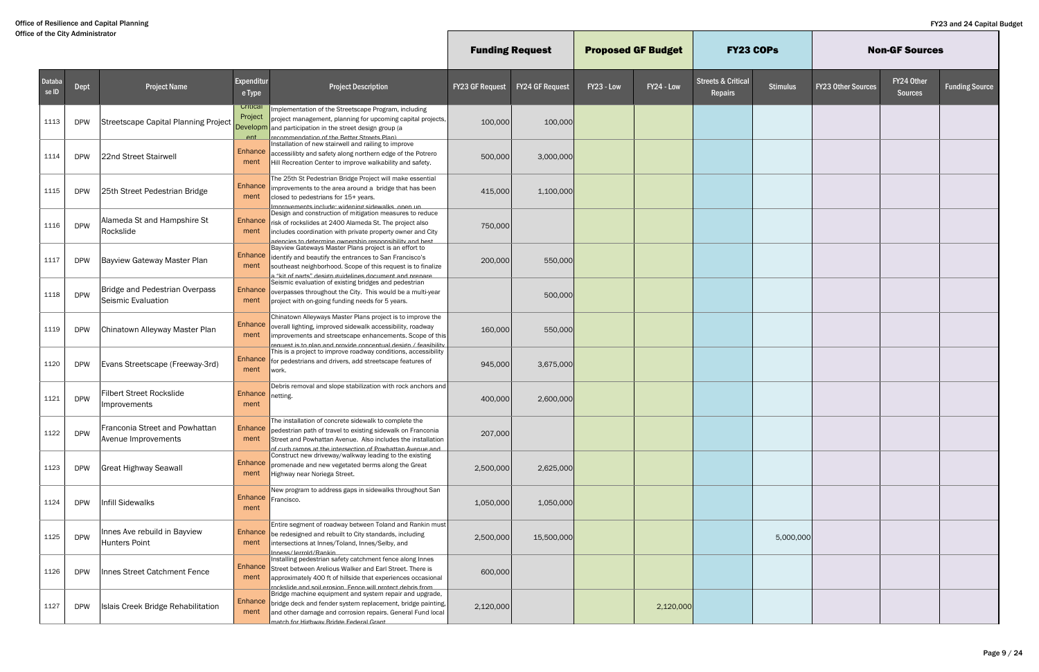|                 |             |                                                             |                                        |                                                                                                                                                                                                                                                               |                        | <b>Funding Request</b> |            | <b>Proposed GF Budget</b> | <b>FY23 COPS</b>                         |                 |                           | <b>Non-GF Sources</b>        |                       |
|-----------------|-------------|-------------------------------------------------------------|----------------------------------------|---------------------------------------------------------------------------------------------------------------------------------------------------------------------------------------------------------------------------------------------------------------|------------------------|------------------------|------------|---------------------------|------------------------------------------|-----------------|---------------------------|------------------------------|-----------------------|
| Databa<br>se ID | <b>Dept</b> | <b>Project Name</b>                                         | Expenditur<br>e Type                   | <b>Project Description</b>                                                                                                                                                                                                                                    | <b>FY23 GF Request</b> | <b>FY24 GF Request</b> | FY23 - Low | FY24 - Low                | <b>Streets &amp; Critical</b><br>Repairs | <b>Stimulus</b> | <b>FY23 Other Sources</b> | FY24 Other<br><b>Sources</b> | <b>Funding Source</b> |
| 1113            | <b>DPW</b>  | Streetscape Capital Planning Project                        | Critical<br>Project<br>Developm<br>ent | Implementation of the Streetscape Program, including<br>project management, planning for upcoming capital projects,<br>and participation in the street design group (a<br><u>recommendation of the Retter Streets Plan)</u>                                   | 100,000                | 100,000                |            |                           |                                          |                 |                           |                              |                       |
| 1114            | <b>DPW</b>  | 22nd Street Stairwell                                       | Enhance<br>ment                        | Installation of new stairwell and railing to improve<br>accessilibty and safety along northern edge of the Potrero<br>Hill Recreation Center to improve walkability and safety.                                                                               | 500,000                | 3,000,000              |            |                           |                                          |                 |                           |                              |                       |
| 1115            | <b>DPW</b>  | 25th Street Pedestrian Bridge                               | Enhance<br>ment                        | The 25th St Pedestrian Bridge Project will make essential<br>improvements to the area around a bridge that has been<br>closed to pedestrians for 15+ years.<br><u>Imnrovements include: widening sidewalks_onen un </u>                                       | 415,000                | 1,100,000              |            |                           |                                          |                 |                           |                              |                       |
| 1116            | <b>DPW</b>  | Alameda St and Hampshire St<br>Rockslide                    | Enhance<br>ment                        | Design and construction of mitigation measures to reduce<br>risk of rockslides at 2400 Alameda St. The project also<br>includes coordination with private property owner and City<br>agencies to determine ownershin responsibility and hest                  | 750,000                |                        |            |                           |                                          |                 |                           |                              |                       |
| 1117            | <b>DPW</b>  | Bayview Gateway Master Plan                                 | <b>Enhance</b><br>ment                 | Bayview Gateways Master Plans project is an effort to<br>lidentify and beautify the entrances to San Francisco's<br>southeast neighborhood. Scope of this request is to finalize<br>kit of narts" desion quidelines document and prepa."                      | 200,000                | 550,000                |            |                           |                                          |                 |                           |                              |                       |
| 1118            | <b>DPW</b>  | <b>Bridge and Pedestrian Overpass</b><br>Seismic Evaluation | Enhance<br>ment                        | Seismic evaluation of existing bridges and pedestrian<br>overpasses throughout the City. This would be a multi-year<br>project with on-going funding needs for 5 years.                                                                                       |                        | 500,000                |            |                           |                                          |                 |                           |                              |                       |
| 1119            | <b>DPW</b>  | Chinatown Alleyway Master Plan                              | Enhance<br>ment                        | Chinatown Alleyways Master Plans project is to improve the<br>overall lighting, improved sidewalk accessibility, roadway<br>improvements and streetscape enhancements. Scope of this<br><u>request is to plan and provide conceptual design / feasibility</u> | 160,000                | 550,000                |            |                           |                                          |                 |                           |                              |                       |
| 1120            | <b>DPW</b>  | Evans Streetscape (Freeway-3rd)                             | Enhance<br>ment                        | This is a project to improve roadway conditions, accessibility<br>for pedestrians and drivers, add streetscape features of<br>work.                                                                                                                           | 945,000                | 3,675,000              |            |                           |                                          |                 |                           |                              |                       |
| 1121            | <b>DPW</b>  | <b>Filbert Street Rockslide</b><br>Improvements             | Enhance netting.<br>ment               | Debris removal and slope stabilization with rock anchors and                                                                                                                                                                                                  | 400,000                | 2,600,000              |            |                           |                                          |                 |                           |                              |                       |
| 1122            | <b>DPW</b>  | Franconia Street and Powhattan<br>Avenue Improvements       | Enhance<br>ment                        | The installation of concrete sidewalk to complete the<br>pedestrian path of travel to existing sidewalk on Franconia<br>Street and Powhattan Avenue. Also includes the installation<br>of curb ramns at the intersection of Powhattan Avenue and              | 207,000                |                        |            |                           |                                          |                 |                           |                              |                       |
| 1123            | <b>DPW</b>  | <b>Great Highway Seawall</b>                                | <b>Enhance</b><br>ment                 | Construct new driveway/walkway leading to the existing<br>promenade and new vegetated berms along the Great<br>Highway near Noriega Street.                                                                                                                   | 2,500,000              | 2,625,000              |            |                           |                                          |                 |                           |                              |                       |
| 1124            | <b>DPW</b>  | <b>Infill Sidewalks</b>                                     | Enhance Francisco.<br>ment             | New program to address gaps in sidewalks throughout San                                                                                                                                                                                                       | 1,050,000              | 1,050,000              |            |                           |                                          |                 |                           |                              |                       |
| 1125            | <b>DPW</b>  | Innes Ave rebuild in Bayview<br>Hunters Point               | ment                                   | Entire segment of roadway between Toland and Rankin must<br>Enhance be redesigned and rebuilt to City standards, including<br>intersections at Innes/Toland, Innes/Selby, and<br>nness/lerrold/Rankin                                                         | 2,500,000              | 15,500,000             |            |                           |                                          | 5,000,000       |                           |                              |                       |
| 1126            | <b>DPW</b>  | Innes Street Catchment Fence                                | Enhance<br>ment                        | Installing pedestrian safety catchment fence along Innes<br>Street between Arelious Walker and Earl Street. There is<br>approximately 400 ft of hillside that experiences occasional<br>rockslide and soil erosion. Fence will protect debris from            | 600,000                |                        |            |                           |                                          |                 |                           |                              |                       |
| 1127            | <b>DPW</b>  | Islais Creek Bridge Rehabilitation                          | Enhance<br>ment                        | Bridge machine equipment and system repair and upgrade,<br>bridge deck and fender system replacement, bridge painting,<br>and other damage and corrosion repairs. General Fund local<br>match for Hidhway Rridde Federal Grant                                | 2,120,000              |                        |            | 2,120,000                 |                                          |                 |                           |                              |                       |

 $\mathbb{L}$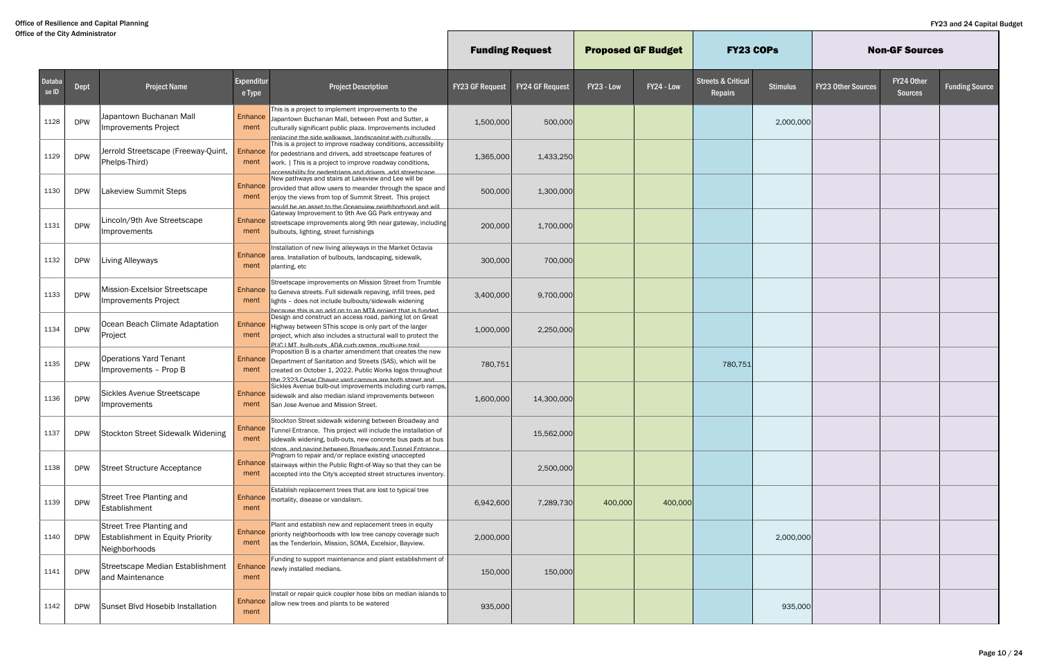|                        |            |                                                                                             |                        |                                                                                                                                                                                                                                                      | <b>Funding Request</b> |                        | <b>Proposed GF Budget</b> |            | <b>FY23 COPS</b>                         |                 |                           | <b>Non-GF Sources</b>        |                       |
|------------------------|------------|---------------------------------------------------------------------------------------------|------------------------|------------------------------------------------------------------------------------------------------------------------------------------------------------------------------------------------------------------------------------------------------|------------------------|------------------------|---------------------------|------------|------------------------------------------|-----------------|---------------------------|------------------------------|-----------------------|
| <b>Databa</b><br>se ID | Dept       | <b>Project Name</b>                                                                         | Expenditur<br>e Type   | <b>Project Description</b>                                                                                                                                                                                                                           | <b>FY23 GF Request</b> | <b>FY24 GF Request</b> | FY23 - Low                | FY24 - Low | <b>Streets &amp; Critical</b><br>Repairs | <b>Stimulus</b> | <b>FY23 Other Sources</b> | FY24 Other<br><b>Sources</b> | <b>Funding Source</b> |
| 1128                   | <b>DPW</b> | Japantown Buchanan Mall<br>Improvements Project                                             | Enhance<br>ment        | This is a project to implement improvements to the<br>Japantown Buchanan Mall, between Post and Sutter, a<br>culturally significant public plaza. Improvements included<br>replacing the side walkways landscaping with culturall                    | 1,500,000              | 500,000                |                           |            |                                          | 2,000,000       |                           |                              |                       |
| 1129                   | <b>DPW</b> | Jerrold Streetscape (Freeway-Quint,<br>Phelps-Third)                                        | <b>Enhance</b><br>ment | This is a project to improve roadway conditions, accessibility<br>for pedestrians and drivers, add streetscape features of<br>work.   This is a project to improve roadway conditions,<br>accessibility for nedestrians and drivers, add streetscane | 1,365,000              | 1,433,250              |                           |            |                                          |                 |                           |                              |                       |
| 1130                   | <b>DPW</b> | Lakeview Summit Steps                                                                       | Enhance<br>ment        | New pathways and stairs at Lakeview and Lee will be<br>provided that allow users to meander through the space and<br>enjoy the views from top of Summit Street. This project<br>would he an asset to the Oceanview neighborhood and will             | 500,000                | 1,300,000              |                           |            |                                          |                 |                           |                              |                       |
| 1131                   | <b>DPW</b> | Lincoln/9th Ave Streetscape<br>Improvements                                                 | <b>Enhance</b><br>ment | Gateway Improvement to 9th Ave GG Park entryway and<br>streetscape improvements along 9th near gateway, including<br>bulbouts, lighting, street furnishings                                                                                          | 200,000                | 1,700,000              |                           |            |                                          |                 |                           |                              |                       |
| 1132                   | <b>DPW</b> | Living Alleyways                                                                            | <b>Enhance</b><br>ment | Installation of new living alleyways in the Market Octavia<br>area. Installation of bulbouts, landscaping, sidewalk,<br>planting, etc                                                                                                                | 300,000                | 700,000                |                           |            |                                          |                 |                           |                              |                       |
| 1133                   | <b>DPW</b> | Mission-Excelsior Streetscape<br>Improvements Project                                       | Enhance<br>ment        | Streetscape improvements on Mission Street from Trumble<br>to Geneva streets. Full sidewalk repaving, infill trees, ped<br>lights - does not include bulbouts/sidewalk widening<br>hecause this is an add on to an MTA project that is funded        | 3,400,000              | 9,700,000              |                           |            |                                          |                 |                           |                              |                       |
| 1134                   | <b>DPW</b> | Ocean Beach Climate Adaptation<br>Project                                                   | Enhance<br>ment        | Design and construct an access road, parking lot on Great<br>Highway between SThis scope is only part of the larger<br>project, which also includes a structural wall to protect the<br>PHC LMT bulb-outs. ADA curb ramps, multi-use trail           | 1,000,000              | 2,250,000              |                           |            |                                          |                 |                           |                              |                       |
| 1135                   | <b>DPW</b> | <b>Operations Yard Tenant</b><br>Improvements - Prop B                                      | <b>Enhance</b><br>ment | Proposition B is a charter amendment that creates the new<br>Department of Sanitation and Streets (SAS), which will be<br>created on October 1, 2022. Public Works logos throughout<br>the 2323 Cesar Chavez vard campus are both street and         | 780,751                |                        |                           |            | 780,751                                  |                 |                           |                              |                       |
| 1136                   | <b>DPW</b> | Sickles Avenue Streetscape<br>Improvements                                                  | <b>Enhance</b><br>ment | Sickles Avenue bulb-out improvements including curb ramps,<br>sidewalk and also median island improvements between<br>San Jose Avenue and Mission Street.                                                                                            | 1,600,000              | 14,300,000             |                           |            |                                          |                 |                           |                              |                       |
| 1137                   | <b>DPW</b> | Stockton Street Sidewalk Widening                                                           | Enhance<br>ment        | Stockton Street sidewalk widening between Broadway and<br>Tunnel Entrance. This project will include the installation of<br>sidewalk widening, bulb-outs, new concrete bus pads at bus<br>stons, and naving hetween Rroadway and Tunnel Entrance     |                        | 15,562,000             |                           |            |                                          |                 |                           |                              |                       |
| 1138                   | <b>DPW</b> | <b>Street Structure Acceptance</b>                                                          | ment                   | Program to repair and/or replace existing unaccepted<br>Enhance stairways within the Public Right-of-Way so that they can be<br>accepted into the City's accepted street structures inventory.                                                       |                        | 2,500,000              |                           |            |                                          |                 |                           |                              |                       |
| 1139                   | <b>DPW</b> | <b>Street Tree Planting and</b><br>Establishment                                            | ment                   | Establish replacement trees that are lost to typical tree<br>Enhance   mortality, disease or vandalism.                                                                                                                                              | 6,942,600              | 7,289,730              | 400,000                   | 400,000    |                                          |                 |                           |                              |                       |
| 1140                   | <b>DPW</b> | <b>Street Tree Planting and</b><br><b>Establishment in Equity Priority</b><br>Neighborhoods | Enhance<br>ment        | Plant and establish new and replacement trees in equity<br>priority neighborhoods with low tree canopy coverage such<br>as the Tenderloin, Mission, SOMA, Excelsior, Bayview.                                                                        | 2,000,000              |                        |                           |            |                                          | 2,000,000       |                           |                              |                       |
| 1141                   | <b>DPW</b> | Streetscape Median Establishment<br>and Maintenance                                         | ment                   | Funding to support maintenance and plant establishment of<br>Enhance newly installed medians.                                                                                                                                                        | 150,000                | 150,000                |                           |            |                                          |                 |                           |                              |                       |
| 1142                   | <b>DPW</b> | Sunset Blvd Hosebib Installation                                                            | ment                   | Install or repair quick coupler hose bibs on median islands to<br>Enhance allow new trees and plants to be watered                                                                                                                                   | 935,000                |                        |                           |            |                                          | 935,000         |                           |                              |                       |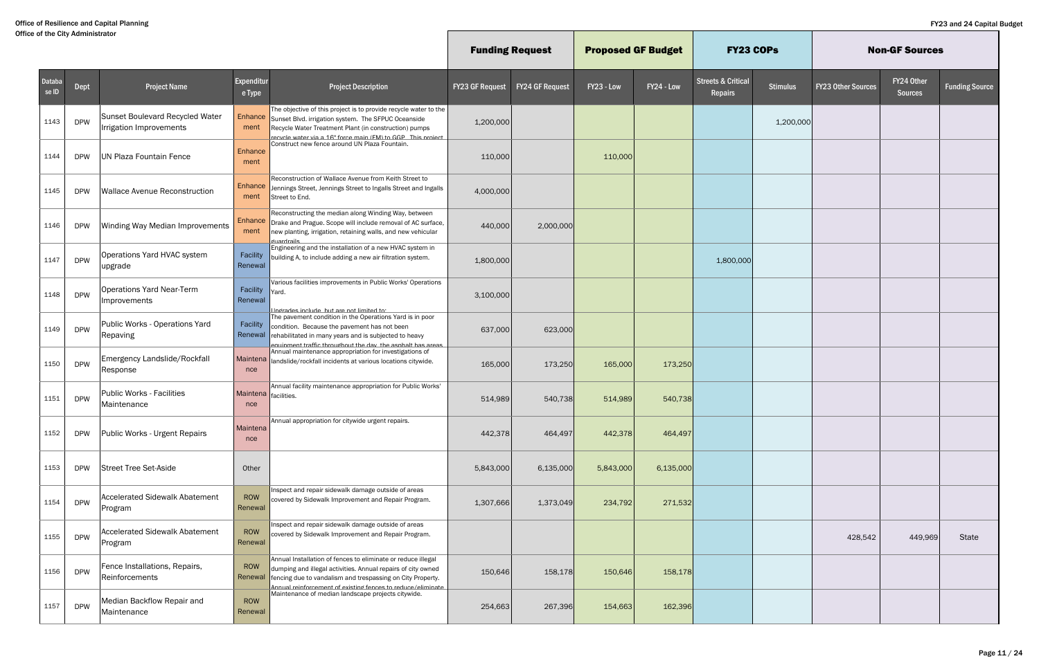|                 |            |                                                            |                             |                                                                                                                                                                                                                                                           |                        | <b>Funding Request</b> | <b>Proposed GF Budget</b> |            | <b>FY23 COPS</b>                         |                 |                           | <b>Non-GF Sources</b>        |                       |
|-----------------|------------|------------------------------------------------------------|-----------------------------|-----------------------------------------------------------------------------------------------------------------------------------------------------------------------------------------------------------------------------------------------------------|------------------------|------------------------|---------------------------|------------|------------------------------------------|-----------------|---------------------------|------------------------------|-----------------------|
| Databa<br>se ID | Dept       | <b>Project Name</b>                                        | Expenditur<br>e Type        | <b>Project Description</b>                                                                                                                                                                                                                                | <b>FY23 GF Request</b> | <b>FY24 GF Request</b> | FY23 - Low                | FY24 - Low | <b>Streets &amp; Critical</b><br>Repairs | <b>Stimulus</b> | <b>FY23 Other Sources</b> | FY24 Other<br><b>Sources</b> | <b>Funding Source</b> |
| 1143            | <b>DPW</b> | Sunset Boulevard Recycled Water<br>Irrigation Improvements | <b>Enhance</b><br>ment      | The objective of this project is to provide recycle water to the<br>Sunset Blvd. irrigation system. The SFPUC Oceanside<br>Recycle Water Treatment Plant (in construction) pumps<br>recycle water via a 16" force main (FM) to GGP This project           | 1,200,000              |                        |                           |            |                                          | 1,200,000       |                           |                              |                       |
| 1144            | <b>DPW</b> | UN Plaza Fountain Fence                                    | Enhance<br>ment             | Construct new fence around UN Plaza Fountain.                                                                                                                                                                                                             | 110,000                |                        | 110,000                   |            |                                          |                 |                           |                              |                       |
| 1145            | <b>DPW</b> | <b>Wallace Avenue Reconstruction</b>                       | Enhance<br>ment             | Reconstruction of Wallace Avenue from Keith Street to<br>Jennings Street, Jennings Street to Ingalls Street and Ingalls<br>Street to End.                                                                                                                 | 4,000,000              |                        |                           |            |                                          |                 |                           |                              |                       |
| 1146            | <b>DPW</b> | Winding Way Median Improvements                            | Enhance<br>ment             | Reconstructing the median along Winding Way, between<br>Drake and Prague. Scope will include removal of AC surface,<br>new planting, irrigation, retaining walls, and new vehicular<br><b><i><u>suardrails</u></i></b>                                    | 440,000                | 2,000,000              |                           |            |                                          |                 |                           |                              |                       |
| 1147            | <b>DPW</b> | Operations Yard HVAC system<br>upgrade                     | Facility<br>Renewal         | Engineering and the installation of a new HVAC system in<br>building A, to include adding a new air filtration system.                                                                                                                                    | 1,800,000              |                        |                           |            | 1,800,000                                |                 |                           |                              |                       |
| 1148            | <b>DPW</b> | <b>Operations Yard Near-Term</b><br>Improvements           | Facility<br>Renewal         | Various facilities improvements in Public Works' Operations<br>Yard.<br>Indrades include but are not limited to:                                                                                                                                          | 3,100,000              |                        |                           |            |                                          |                 |                           |                              |                       |
| 1149            | <b>DPW</b> | Public Works - Operations Yard<br>Repaving                 | Facility                    | The pavement condition in the Operations Yard is in poor<br>condition. Because the pavement has not been<br>Renewal rehabilitated in many years and is subjected to heavy<br>equinment traffic throughout the day the asnhalt has areas                   | 637,000                | 623,000                |                           |            |                                          |                 |                           |                              |                       |
| 1150            | <b>DPW</b> | Emergency Landslide/Rockfall<br>Response                   | nce                         | Annual maintenance appropriation for investigations of<br>Maintena   landslide/rockfall incidents at various locations citywide.                                                                                                                          | 165,000                | 173,250                | 165,000                   | 173,250    |                                          |                 |                           |                              |                       |
| 1151            | <b>DPW</b> | <b>Public Works - Facilities</b><br>Maintenance            | Maintena facilities.<br>nce | Annual facility maintenance appropriation for Public Works'                                                                                                                                                                                               | 514,989                | 540,738                | 514,989                   | 540,738    |                                          |                 |                           |                              |                       |
| 1152            | <b>DPW</b> | Public Works - Urgent Repairs                              | Maintena<br>nce             | Annual appropriation for citywide urgent repairs.                                                                                                                                                                                                         | 442,378                | 464,497                | 442,378                   | 464,497    |                                          |                 |                           |                              |                       |
| 1153            | <b>DPW</b> | Street Tree Set-Aside                                      | Other                       |                                                                                                                                                                                                                                                           | 5,843,000              | 6,135,000              | 5,843,000                 | 6,135,000  |                                          |                 |                           |                              |                       |
| 1154            | <b>DPW</b> | <b>Accelerated Sidewalk Abatement</b><br>Program           | ROW<br>Renewal              | Inspect and repair sidewalk damage outside of areas<br>covered by Sidewalk Improvement and Repair Program.                                                                                                                                                | 1,307,666              | 1,373,049              | 234,792                   | 271,532    |                                          |                 |                           |                              |                       |
| 1155            | <b>DPW</b> | <b>Accelerated Sidewalk Abatement</b><br>Program           | ROW<br>Renewal              | Inspect and repair sidewalk damage outside of areas<br>covered by Sidewalk Improvement and Repair Program.                                                                                                                                                |                        |                        |                           |            |                                          |                 | 428,542                   | 449,969                      | State                 |
| 1156            | <b>DPW</b> | Fence Installations, Repairs,<br>Reinforcements            | ROW<br>Renewal              | Annual Installation of fences to eliminate or reduce illegal<br>dumping and illegal activities. Annual repairs of city owned<br>fencing due to vandalism and trespassing on City Property.<br>Annual reinforcement of existing fences to reduce/eliminate | 150,646                | 158,178                | 150,646                   | 158,178    |                                          |                 |                           |                              |                       |
| 1157            | <b>DPW</b> | Median Backflow Repair and<br>Maintenance                  | ROW<br>Renewal              | Maintenance of median landscape projects citywide.                                                                                                                                                                                                        | 254,663                | 267,396                | 154,663                   | 162,396    |                                          |                 |                           |                              |                       |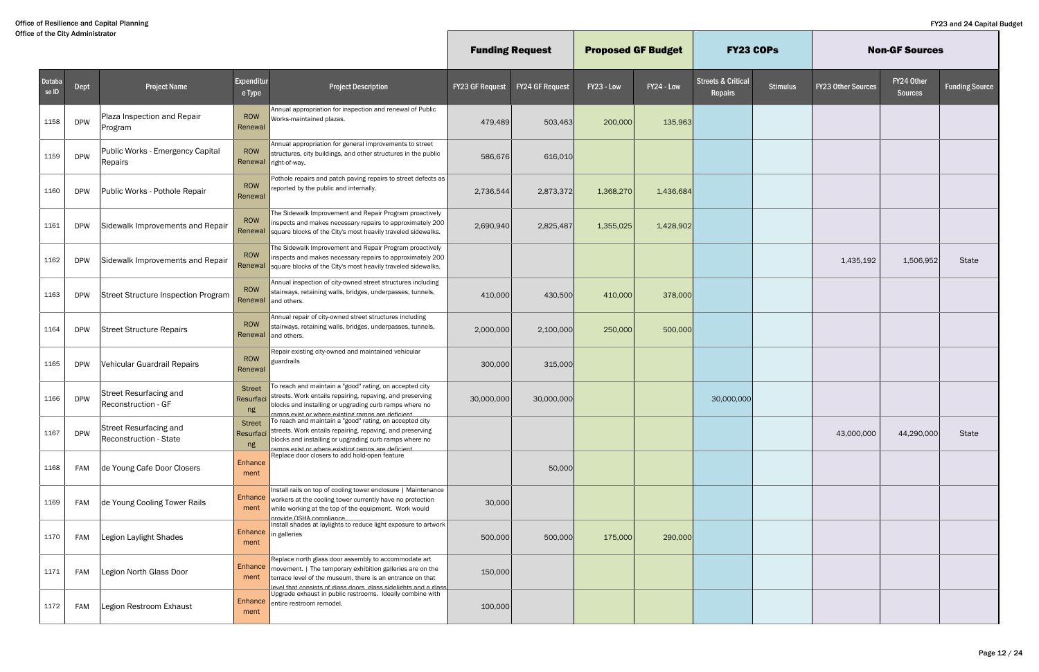|                 |            |                                                         |                                  |                                                                                                                                                                                                                                                   | <b>Funding Request</b> |                 | <b>Proposed GF Budget</b> |            | <b>FY23 COPs</b>                                |                 |                           | <b>Non-GF Sources</b>        |                       |
|-----------------|------------|---------------------------------------------------------|----------------------------------|---------------------------------------------------------------------------------------------------------------------------------------------------------------------------------------------------------------------------------------------------|------------------------|-----------------|---------------------------|------------|-------------------------------------------------|-----------------|---------------------------|------------------------------|-----------------------|
| Databa<br>se ID | Dept       | <b>Project Name</b>                                     | Expenditur<br>e Type             | <b>Project Description</b>                                                                                                                                                                                                                        | <b>FY23 GF Request</b> | FY24 GF Request | FY23 - Low                | FY24 - Low | <b>Streets &amp; Critical</b><br><b>Repairs</b> | <b>Stimulus</b> | <b>FY23 Other Sources</b> | FY24 Other<br><b>Sources</b> | <b>Funding Source</b> |
| 1158            | <b>DPW</b> | Plaza Inspection and Repair<br>Program                  | ROW<br>Renewal                   | Annual appropriation for inspection and renewal of Public<br>Works-maintained plazas.                                                                                                                                                             | 479,489                | 503,463         | 200,000                   | 135,963    |                                                 |                 |                           |                              |                       |
| 1159            | <b>DPW</b> | Public Works - Emergency Capital<br>Repairs             | ROW                              | Annual appropriation for general improvements to street<br>structures, city buildings, and other structures in the public<br>Renewal right-of-way.                                                                                                | 586,676                | 616,010         |                           |            |                                                 |                 |                           |                              |                       |
| 1160            | <b>DPW</b> | Public Works - Pothole Repair                           | ROW<br>Renewal                   | Pothole repairs and patch paving repairs to street defects as<br>reported by the public and internally.                                                                                                                                           | 2,736,544              | 2,873,372       | 1,368,270                 | 1,436,684  |                                                 |                 |                           |                              |                       |
| 1161            | <b>DPW</b> | Sidewalk Improvements and Repair                        | ROW<br>Renewal                   | The Sidewalk Improvement and Repair Program proactively<br>inspects and makes necessary repairs to approximately 200<br>square blocks of the City's most heavily traveled sidewalks.                                                              | 2,690,940              | 2,825,487       | 1,355,025                 | 1,428,902  |                                                 |                 |                           |                              |                       |
| 1162            | <b>DPW</b> | Sidewalk Improvements and Repair                        | ROW<br>Renewal                   | The Sidewalk Improvement and Repair Program proactively<br>inspects and makes necessary repairs to approximately 200<br>square blocks of the City's most heavily traveled sidewalks.                                                              |                        |                 |                           |            |                                                 |                 | 1,435,192                 | 1,506,952                    | State                 |
| 1163            | <b>DPW</b> | <b>Street Structure Inspection Program</b>              | ROW<br>Renewal                   | Annual inspection of city-owned street structures including<br>stairways, retaining walls, bridges, underpasses, tunnels,<br>and others.                                                                                                          | 410,000                | 430,500         | 410,000                   | 378,000    |                                                 |                 |                           |                              |                       |
| 1164            | <b>DPW</b> | <b>Street Structure Repairs</b>                         | ROW<br>Renewal                   | Annual repair of city-owned street structures including<br>stairways, retaining walls, bridges, underpasses, tunnels,<br>and others.                                                                                                              | 2,000,000              | 2,100,000       | 250,000                   | 500,000    |                                                 |                 |                           |                              |                       |
| 1165            | <b>DPW</b> | Vehicular Guardrail Repairs                             | ROW<br>Renewal                   | Repair existing city-owned and maintained vehicular<br>guardrails                                                                                                                                                                                 | 300,000                | 315,000         |                           |            |                                                 |                 |                           |                              |                       |
| 1166            | <b>DPW</b> | Street Resurfacing and<br>Reconstruction - GF           | <b>Street</b><br>Resurfaci<br>ng | To reach and maintain a "good" rating, on accepted city<br>streets. Work entails repairing, repaving, and preserving<br>blocks and installing or upgrading curb ramps where no<br><u>ramns exist or where existing ramns are deficien</u>         | 30,000,000             | 30,000,000      |                           |            | 30,000,000                                      |                 |                           |                              |                       |
| 1167            | <b>DPW</b> | <b>Street Resurfacing and</b><br>Reconstruction - State | <b>Street</b><br>Resurfaci<br>ng | To reach and maintain a "good" rating, on accepted city<br>streets. Work entails repairing, repaving, and preserving<br>blocks and installing or upgrading curb ramps where no<br>ramns exist or where existing ramns are deficient               |                        |                 |                           |            |                                                 |                 | 43,000,000                | 44,290,000                   | State                 |
| 1168            | FAM        | de Young Cafe Door Closers                              | Enhance<br>ment                  | Replace door closers to add hold-open feature                                                                                                                                                                                                     |                        | 50,000          |                           |            |                                                 |                 |                           |                              |                       |
| 1169            | FAM        | de Young Cooling Tower Rails                            | Enhance<br>ment                  | Install rails on top of cooling tower enclosure   Maintenance<br>workers at the cooling tower currently have no protection<br>while working at the top of the equipment. Work would<br>nrovide OSHA compliance                                    | 30,000                 |                 |                           |            |                                                 |                 |                           |                              |                       |
| 1170            | FAM        | Legion Laylight Shades                                  | ment                             | Install shades at laylights to reduce light exposure to artwork<br>Enhance in galleries                                                                                                                                                           | 500,000                | 500,000         | 175,000                   | 290,000    |                                                 |                 |                           |                              |                       |
| 1171            | FAM        | Legion North Glass Door                                 | Enhance<br>ment                  | Replace north glass door assembly to accommodate art<br>movement.   The temporary exhibition galleries are on the<br>terrace level of the museum, there is an entrance on that<br>evel that consists of glass doors, glass sidelights and a glass | 150,000                |                 |                           |            |                                                 |                 |                           |                              |                       |
| 1172            | FAM        | Legion Restroom Exhaust                                 | ment                             | Upgrade exhaust in public restrooms. Ideally combine with<br>Enhance entire restroom remodel.                                                                                                                                                     | 100,000                |                 |                           |            |                                                 |                 |                           |                              |                       |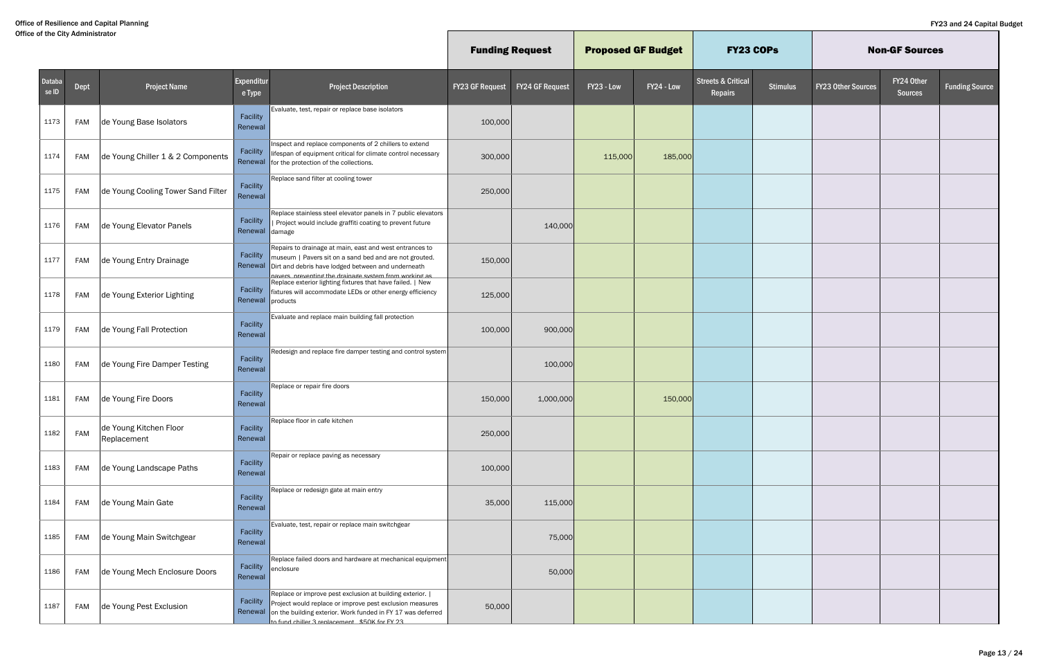|                 |            |                                       |                            |                                                                                                                                                                                                                                               | <b>Funding Request</b> |                        | <b>Proposed GF Budget</b> |            | <b>FY23 COPs</b>                         |                 |                           | <b>Non-GF Sources</b>        |                       |
|-----------------|------------|---------------------------------------|----------------------------|-----------------------------------------------------------------------------------------------------------------------------------------------------------------------------------------------------------------------------------------------|------------------------|------------------------|---------------------------|------------|------------------------------------------|-----------------|---------------------------|------------------------------|-----------------------|
| Databa<br>se ID | Dept       | <b>Project Name</b>                   | Expenditur<br>e Type       | <b>Project Description</b>                                                                                                                                                                                                                    | <b>FY23 GF Request</b> | <b>FY24 GF Request</b> | FY23 - Low                | FY24 - Low | <b>Streets &amp; Critical</b><br>Repairs | <b>Stimulus</b> | <b>FY23 Other Sources</b> | FY24 Other<br><b>Sources</b> | <b>Funding Source</b> |
| 1173            | FAM        | de Young Base Isolators               | Facility<br>Renewal        | Evaluate, test, repair or replace base isolators                                                                                                                                                                                              | 100,000                |                        |                           |            |                                          |                 |                           |                              |                       |
| 1174            | FAM        | de Young Chiller 1 & 2 Components     | Facility                   | Inspect and replace components of 2 chillers to extend<br>lifespan of equipment critical for climate control necessary<br>Renewal for the protection of the collections.                                                                      | 300,000                |                        | 115,000                   | 185,000    |                                          |                 |                           |                              |                       |
| 1175            | FAM        | de Young Cooling Tower Sand Filter    | Facility<br>Renewal        | Replace sand filter at cooling tower                                                                                                                                                                                                          | 250,000                |                        |                           |            |                                          |                 |                           |                              |                       |
| 1176            | FAM        | de Young Elevator Panels              | Facility<br>Renewal damage | Replace stainless steel elevator panels in 7 public elevators<br>Project would include graffiti coating to prevent future                                                                                                                     |                        | 140,000                |                           |            |                                          |                 |                           |                              |                       |
| 1177            | FAM        | de Young Entry Drainage               | Facility<br>Renewal        | Repairs to drainage at main, east and west entrances to<br>museum   Pavers sit on a sand bed and are not grouted.<br>Dirt and debris have lodged between and underneath<br>navers preventing the drainage system from working as              | 150,000                |                        |                           |            |                                          |                 |                           |                              |                       |
| 1178            | FAM        | de Young Exterior Lighting            | Facility<br>Renewal        | Replace exterior lighting fixtures that have failed.   New<br>fixtures will accommodate LEDs or other energy efficiency<br>products                                                                                                           | 125,000                |                        |                           |            |                                          |                 |                           |                              |                       |
| 1179            | FAM        | de Young Fall Protection              | Facility<br>Renewal        | Evaluate and replace main building fall protection                                                                                                                                                                                            | 100,000                | 900,000                |                           |            |                                          |                 |                           |                              |                       |
| 1180            | FAM        | de Young Fire Damper Testing          | Facility<br>Renewal        | Redesign and replace fire damper testing and control system                                                                                                                                                                                   |                        | 100,000                |                           |            |                                          |                 |                           |                              |                       |
| 1181            | FAM        | de Young Fire Doors                   | Facility<br>Renewal        | Replace or repair fire doors                                                                                                                                                                                                                  | 150,000                | 1,000,000              |                           | 150,000    |                                          |                 |                           |                              |                       |
| 1182            | <b>FAM</b> | de Young Kitchen Floor<br>Replacement | Facility<br>Renewal        | Replace floor in cafe kitchen                                                                                                                                                                                                                 | 250,000                |                        |                           |            |                                          |                 |                           |                              |                       |
| 1183            | FAM        | de Young Landscape Paths              | Facility<br>Renewal        | Repair or replace paving as necessary                                                                                                                                                                                                         | 100,000                |                        |                           |            |                                          |                 |                           |                              |                       |
| 1184            | FAM        | de Young Main Gate                    | Facility<br>Renewal        | Replace or redesign gate at main entry                                                                                                                                                                                                        | 35,000                 | 115,000                |                           |            |                                          |                 |                           |                              |                       |
| 1185            | FAM        | de Young Main Switchgear              | Facility<br>Renewal        | Evaluate, test, repair or replace main switchgear                                                                                                                                                                                             |                        | 75,000                 |                           |            |                                          |                 |                           |                              |                       |
| 1186            | FAM        | de Young Mech Enclosure Doors         | Facility<br>Renewal        | Replace failed doors and hardware at mechanical equipment<br>enclosure                                                                                                                                                                        |                        | 50,000                 |                           |            |                                          |                 |                           |                              |                       |
| 1187            | FAM        | de Young Pest Exclusion               | Facility                   | Replace or improve pest exclusion at building exterior.  <br>Project would replace or improve pest exclusion measures<br>Renewal on the building exterior. Work funded in FY 17 was deferred<br>to fund chiller 3 renlacement \$50K for FY 23 | 50,000                 |                        |                           |            |                                          |                 |                           |                              |                       |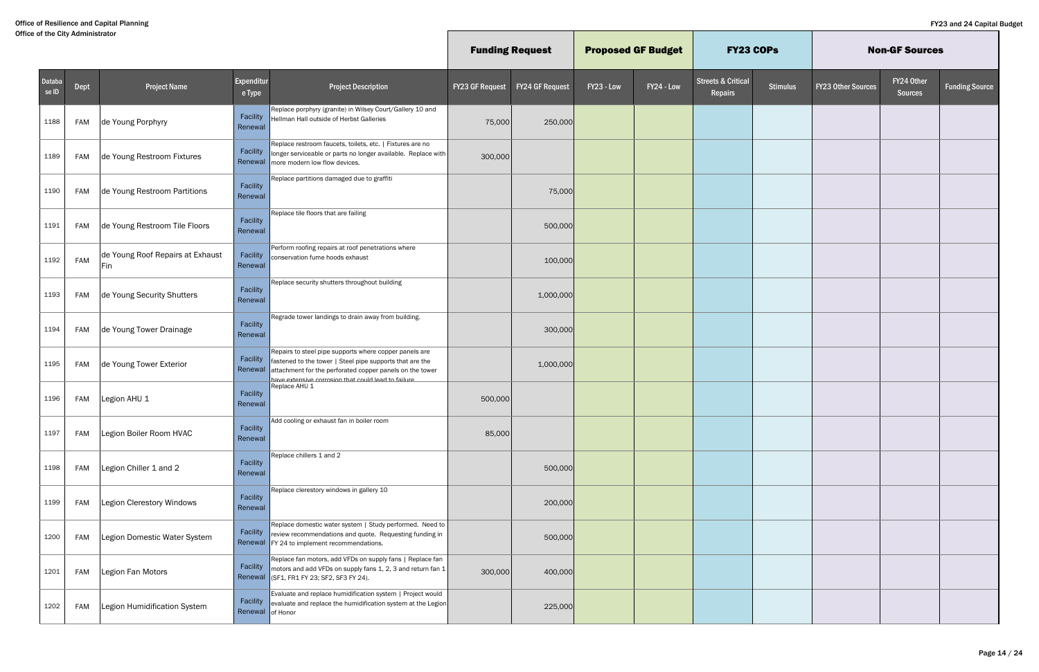|                 |            |                                         |                              |                                                                                                                                                                                                                                       | <b>Funding Request</b> |                        | <b>Proposed GF Budget</b> |            | <b>FY23 COPs</b>                         |                 |                           | <b>Non-GF Sources</b>        |                       |
|-----------------|------------|-----------------------------------------|------------------------------|---------------------------------------------------------------------------------------------------------------------------------------------------------------------------------------------------------------------------------------|------------------------|------------------------|---------------------------|------------|------------------------------------------|-----------------|---------------------------|------------------------------|-----------------------|
| Databa<br>se ID | Dept       | <b>Project Name</b>                     | Expenditur<br>e Type         | <b>Project Description</b>                                                                                                                                                                                                            | <b>FY23 GF Request</b> | <b>FY24 GF Request</b> | FY23 - Low                | FY24 - Low | <b>Streets &amp; Critical</b><br>Repairs | <b>Stimulus</b> | <b>FY23 Other Sources</b> | FY24 Other<br><b>Sources</b> | <b>Funding Source</b> |
| 1188            | <b>FAM</b> | de Young Porphyry                       | Facility<br>Renewal          | Replace porphyry (granite) in Wilsey Court/Gallery 10 and<br>Hellman Hall outside of Herbst Galleries                                                                                                                                 | 75,000                 | 250,000                |                           |            |                                          |                 |                           |                              |                       |
| 1189            | <b>FAM</b> | de Young Restroom Fixtures              | Facility                     | Replace restroom faucets, toilets, etc.   Fixtures are no<br>longer serviceable or parts no longer available. Replace with<br>Renewal   more modern low flow devices.                                                                 | 300,000                |                        |                           |            |                                          |                 |                           |                              |                       |
| 1190            | <b>FAM</b> | de Young Restroom Partitions            | Facility<br>Renewal          | Replace partitions damaged due to graffiti                                                                                                                                                                                            |                        | 75,000                 |                           |            |                                          |                 |                           |                              |                       |
| 1191            | <b>FAM</b> | de Young Restroom Tile Floors           | Facility<br>Renewal          | Replace tile floors that are failing                                                                                                                                                                                                  |                        | 500,000                |                           |            |                                          |                 |                           |                              |                       |
| 1192            | FAM        | de Young Roof Repairs at Exhaust<br>Fin | Facility<br>Renewal          | Perform roofing repairs at roof penetrations where<br>conservation fume hoods exhaust                                                                                                                                                 |                        | 100,000                |                           |            |                                          |                 |                           |                              |                       |
| 1193            | <b>FAM</b> | de Young Security Shutters              | Facility<br>Renewal          | Replace security shutters throughout building                                                                                                                                                                                         |                        | 1,000,000              |                           |            |                                          |                 |                           |                              |                       |
| 1194            | <b>FAM</b> | de Young Tower Drainage                 | Facility<br>Renewal          | Regrade tower landings to drain away from building.                                                                                                                                                                                   |                        | 300,000                |                           |            |                                          |                 |                           |                              |                       |
| 1195            | FAM        | de Young Tower Exterior                 | Facility<br>Renewal          | Repairs to steel pipe supports where copper panels are<br>fastened to the tower   Steel pipe supports that are the<br>attachment for the perforated copper panels on the tower<br>have extensive corrosion that could lead to failure |                        | 1,000,000              |                           |            |                                          |                 |                           |                              |                       |
| 1196            | <b>FAM</b> | Legion AHU 1                            | Facility<br>Renewal          | Replace AHU 1                                                                                                                                                                                                                         | 500,000                |                        |                           |            |                                          |                 |                           |                              |                       |
| 1197            | <b>FAM</b> | Legion Boiler Room HVAC                 | Facility<br>Renewal          | Add cooling or exhaust fan in boiler room                                                                                                                                                                                             | 85,000                 |                        |                           |            |                                          |                 |                           |                              |                       |
| 1198            | FAM        | Legion Chiller 1 and 2                  | Facility<br>Renewal          | Replace chillers 1 and 2                                                                                                                                                                                                              |                        | 500,000                |                           |            |                                          |                 |                           |                              |                       |
| 1199            | <b>FAM</b> | Legion Clerestory Windows               | Facility<br>Renewal          | Replace clerestory windows in gallery 10                                                                                                                                                                                              |                        | 200,000                |                           |            |                                          |                 |                           |                              |                       |
| 1200            | <b>FAM</b> | Legion Domestic Water System            | Facility                     | Replace domestic water system   Study performed. Need to<br>review recommendations and quote. Requesting funding in<br>Renewal   FY 24 to implement recommendations.                                                                  |                        | 500,000                |                           |            |                                          |                 |                           |                              |                       |
| 1201            | <b>FAM</b> | Legion Fan Motors                       | Facility                     | Replace fan motors, add VFDs on supply fans   Replace fan<br>motors and add VFDs on supply fans 1, 2, 3 and return fan $1$<br>Renewal (SF1, FR1 FY 23; SF2, SF3 FY 24).                                                               | 300,000                | 400,000                |                           |            |                                          |                 |                           |                              |                       |
| 1202            | <b>FAM</b> | Legion Humidification System            | Facility<br>Renewal of Honor | Evaluate and replace humidification system   Project would<br>evaluate and replace the humidification system at the Legion                                                                                                            |                        | 225,000                |                           |            |                                          |                 |                           |                              |                       |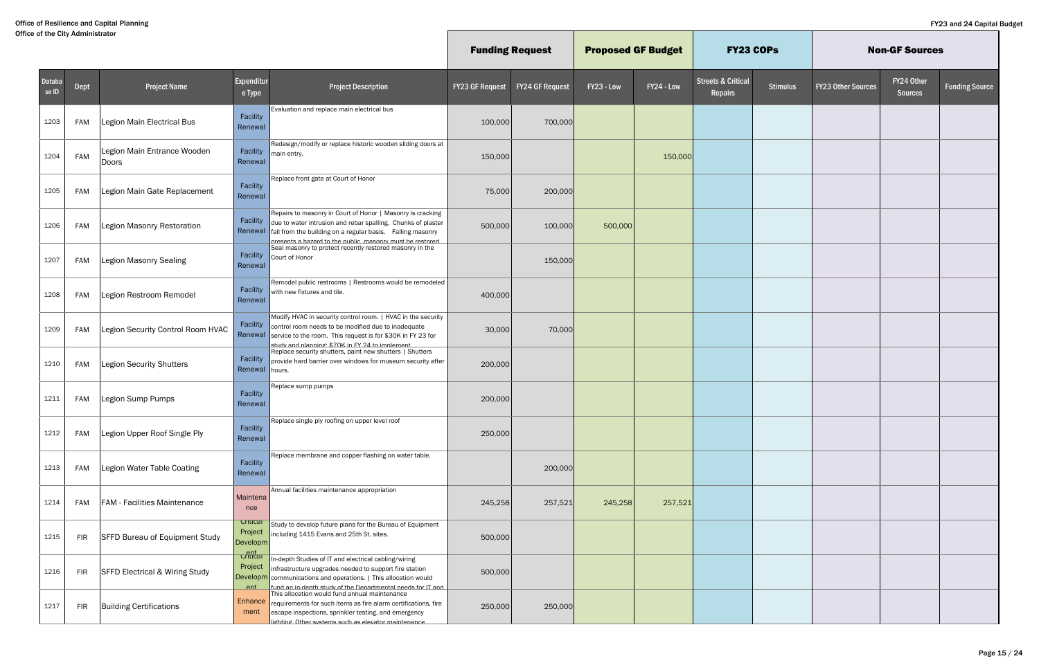|                 |            |                                           |                                                    |                                                                                                                                                                                                                                                                |                        | <b>Funding Request</b> | <b>Proposed GF Budget</b> |            | <b>FY23 COPs</b>                         |                 |                           | <b>Non-GF Sources</b>        |                       |
|-----------------|------------|-------------------------------------------|----------------------------------------------------|----------------------------------------------------------------------------------------------------------------------------------------------------------------------------------------------------------------------------------------------------------------|------------------------|------------------------|---------------------------|------------|------------------------------------------|-----------------|---------------------------|------------------------------|-----------------------|
| Databa<br>se ID | Dept       | <b>Project Name</b>                       | Expenditur<br>e Type                               | <b>Project Description</b>                                                                                                                                                                                                                                     | <b>FY23 GF Request</b> | <b>FY24 GF Request</b> | FY23 - Low                | FY24 - Low | <b>Streets &amp; Critical</b><br>Repairs | <b>Stimulus</b> | <b>FY23 Other Sources</b> | FY24 Other<br><b>Sources</b> | <b>Funding Source</b> |
| 1203            | FAM        | Legion Main Electrical Bus                | Facility<br>Renewal                                | Evaluation and replace main electrical bus                                                                                                                                                                                                                     | 100,000                | 700,000                |                           |            |                                          |                 |                           |                              |                       |
| 1204            | <b>FAM</b> | Legion Main Entrance Wooden<br>Doors      | Facility<br>Renewal                                | Redesign/modify or replace historic wooden sliding doors at<br>main entry.                                                                                                                                                                                     | 150,000                |                        |                           | 150,000    |                                          |                 |                           |                              |                       |
| 1205            | <b>FAM</b> | Legion Main Gate Replacement              | Facility<br>Renewal                                | Replace front gate at Court of Honor                                                                                                                                                                                                                           | 75,000                 | 200,000                |                           |            |                                          |                 |                           |                              |                       |
| 1206            | <b>FAM</b> | Legion Masonry Restoration                | Facility                                           | Repairs to masonry in Court of Honor   Masonry is cracking<br>due to water intrusion and rebar spalling. Chunks of plaster<br>Renewal fall from the building on a regular basis. Falling masonry<br>presents a hazard to the public, masonry must be restored. | 500,000                | 100,000                | 500,000                   |            |                                          |                 |                           |                              |                       |
| 1207            | <b>FAM</b> | <b>Legion Masonry Sealing</b>             | Facility<br>Renewal                                | Seal masonry to protect recently restored masonry in the<br>Court of Honor                                                                                                                                                                                     |                        | 150,000                |                           |            |                                          |                 |                           |                              |                       |
| 1208            | FAM        | Legion Restroom Remodel                   | Facility<br>Renewal                                | Remodel public restrooms   Restrooms would be remodeled<br>with new fixtures and tile.                                                                                                                                                                         | 400,000                |                        |                           |            |                                          |                 |                           |                              |                       |
| 1209            | <b>FAM</b> | Legion Security Control Room HVAC         | Facility                                           | Modify HVAC in security control room.   HVAC in the security<br>control room needs to be modified due to inadequate<br>Renewal service to the room. This request is for \$30K in FY 23 for<br>study and planning: \$70K in FY 24 to implement                  | 30,000                 | 70,000                 |                           |            |                                          |                 |                           |                              |                       |
| 1210            | <b>FAM</b> | <b>Legion Security Shutters</b>           | Facility<br>Renewal hours.                         | Replace security shutters, paint new shutters   Shutters<br>provide hard barrier over windows for museum security after                                                                                                                                        | 200,000                |                        |                           |            |                                          |                 |                           |                              |                       |
| 1211            | <b>FAM</b> | Legion Sump Pumps                         | Facility<br>Renewal                                | Replace sump pumps                                                                                                                                                                                                                                             | 200,000                |                        |                           |            |                                          |                 |                           |                              |                       |
| 1212            | <b>FAM</b> | Legion Upper Roof Single Ply              | Facility<br>Renewal                                | Replace single ply roofing on upper level roof                                                                                                                                                                                                                 | 250,000                |                        |                           |            |                                          |                 |                           |                              |                       |
| 1213            | <b>FAM</b> | Legion Water Table Coating                | Facility<br>Renewal                                | Replace membrane and copper flashing on water table.                                                                                                                                                                                                           |                        | 200,000                |                           |            |                                          |                 |                           |                              |                       |
| 1214            | <b>FAM</b> | <b>FAM - Facilities Maintenance</b>       | Maintena<br>nce                                    | Annual facilities maintenance appropriation                                                                                                                                                                                                                    | 245,258                | 257,521                | 245,258                   | 257,521    |                                          |                 |                           |                              |                       |
| 1215            | <b>FIR</b> | <b>SFFD Bureau of Equipment Study</b>     | Critical<br>Project<br>Developm                    | Study to develop future plans for the Bureau of Equipment<br>including 1415 Evans and 25th St. sites.                                                                                                                                                          | 500,000                |                        |                           |            |                                          |                 |                           |                              |                       |
| 1216            | <b>FIR</b> | <b>SFFD Electrical &amp; Wiring Study</b> | <mark>ਰੀ ਹ</mark> ਜੀ<br>Project<br>Developm<br>ent | In-depth Studies of IT and electrical cabling/wiring<br>infrastructure upgrades needed to support fire station<br>communications and operations.   This allocation would<br>fund an in-denth study of the Denartmental needs for IT and                        | 500,000                |                        |                           |            |                                          |                 |                           |                              |                       |
| 1217            | <b>FIR</b> | <b>Building Certifications</b>            | Enhance<br>ment                                    | This allocation would fund annual maintenance<br>requirements for such items as fire alarm certifications, fire<br>escape inspections, sprinkler testing, and emergency<br>lighting Other systems such as elevator maintenance                                 | 250,000                | 250,000                |                           |            |                                          |                 |                           |                              |                       |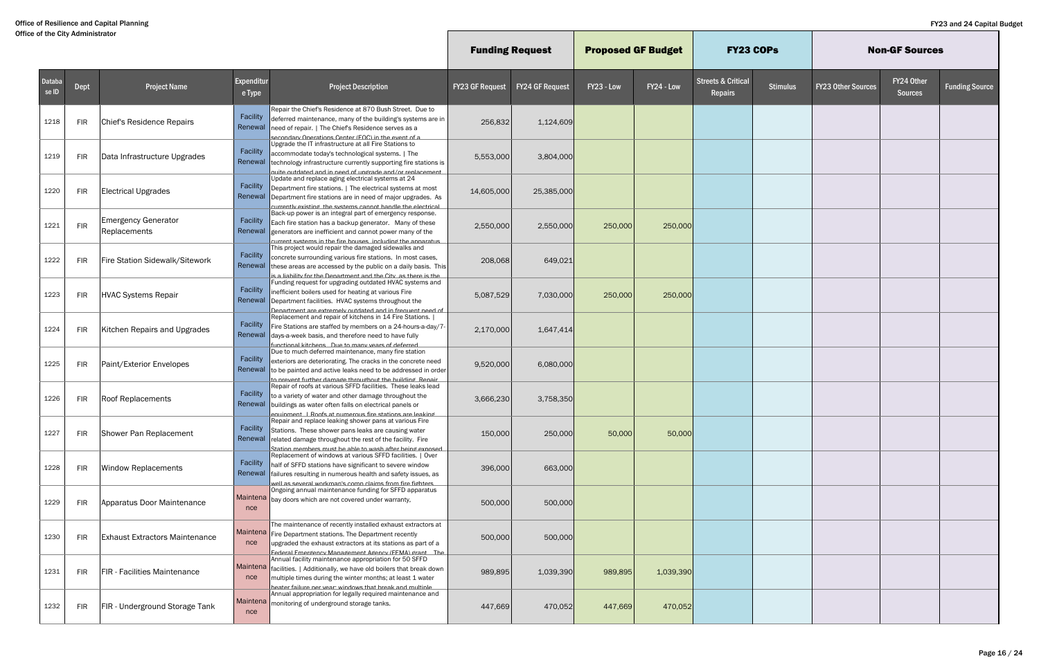|                 |            |                                            |                      |                                                                                                                                                                                                                                                                            | <b>Funding Request</b> |                        | <b>Proposed GF Budget</b> |            | <b>FY23 COPS</b>                                |                 |                           | <b>Non-GF Sources</b>        |                       |
|-----------------|------------|--------------------------------------------|----------------------|----------------------------------------------------------------------------------------------------------------------------------------------------------------------------------------------------------------------------------------------------------------------------|------------------------|------------------------|---------------------------|------------|-------------------------------------------------|-----------------|---------------------------|------------------------------|-----------------------|
| Databa<br>se ID | Dept       | <b>Project Name</b>                        | Expenditur<br>e Type | <b>Project Description</b>                                                                                                                                                                                                                                                 | <b>FY23 GF Request</b> | <b>FY24 GF Request</b> | FY23 - Low                | FY24 - Low | <b>Streets &amp; Critical</b><br><b>Repairs</b> | <b>Stimulus</b> | <b>FY23 Other Sources</b> | FY24 Other<br><b>Sources</b> | <b>Funding Source</b> |
| 1218            | <b>FIR</b> | Chief's Residence Repairs                  | Facility<br>Renewal  | Repair the Chief's Residence at 870 Bush Street. Due to<br>deferred maintenance, many of the building's systems are in<br>need of repair.   The Chief's Residence serves as a<br>secondary Onerations Center (FOC) in the event of a                                       | 256,832                | 1,124,609              |                           |            |                                                 |                 |                           |                              |                       |
| 1219            | <b>FIR</b> | Data Infrastructure Upgrades               | Facility<br>Renewal  | Upgrade the IT infrastructure at all Fire Stations to<br>accommodate today's technological systems.   The<br>technology infrastructure currently supporting fire stations is<br>triamension to has abstenu to been ni bos betshtun etiur                                   | 5,553,000              | 3,804,000              |                           |            |                                                 |                 |                           |                              |                       |
| 1220            | <b>FIR</b> | <b>Electrical Upgrades</b>                 | Facility<br>Renewal  | Update and replace aging electrical systems at 24<br>Department fire stations.   The electrical systems at most<br>Department fire stations are in need of major upgrades. As<br>urrently existing the systems cannot handle the electrical                                | 14,605,000             | 25,385,000             |                           |            |                                                 |                 |                           |                              |                       |
| 1221            | <b>FIR</b> | <b>Emergency Generator</b><br>Replacements | Facility             | Back-up power is an integral part of emergency response.<br>Each fire station has a backup generator. Many of these<br>Renewal generators are inefficient and cannot power many of the<br>current systems in the fire houses including the annaratus                       | 2,550,000              | 2,550,000              | 250,000                   | 250,000    |                                                 |                 |                           |                              |                       |
| 1222            | <b>FIR</b> | Fire Station Sidewalk/Sitework             | Facility             | This project would repair the damaged sidewalks and<br>concrete surrounding various fire stations. In most cases,<br>Renewal these areas are accessed by the public on a daily basis. This<br>s a liahility for the Denartment and the City, as there is the               | 208,068                | 649,021                |                           |            |                                                 |                 |                           |                              |                       |
| 1223            | <b>FIR</b> | <b>HVAC Systems Repair</b>                 | Facility<br>Renewal  | Funding request for upgrading outdated HVAC systems and<br>inefficient boilers used for heating at various Fire<br>Department facilities. HVAC systems throughout the<br>Denartment are extremely outdated and in frequent need of                                         | 5,087,529              | 7,030,000              | 250,000                   | 250,000    |                                                 |                 |                           |                              |                       |
| 1224            | <b>FIR</b> | Kitchen Repairs and Upgrades               | Facility<br>Renewal  | Replacement and repair of kitchens in 14 Fire Stations.  <br>Fire Stations are staffed by members on a 24-hours-a-day/7-<br>days-a-week basis, and therefore need to have fully<br>functional kitchens. Due to many vears of deferred                                      | 2,170,000              | 1,647,414              |                           |            |                                                 |                 |                           |                              |                       |
| 1225            | <b>FIR</b> | Paint/Exterior Envelopes                   | Facility<br>Renewal  | Due to much deferred maintenance, many fire station<br>exteriors are deteriorating. The cracks in the concrete need<br>to be painted and active leaks need to be addressed in order<br>to prevent further damage throughout the building Repair                            | 9,520,000              | 6,080,000              |                           |            |                                                 |                 |                           |                              |                       |
| 1226            | <b>FIR</b> | <b>Roof Replacements</b>                   | Facility<br>Renewal  | Repair of roofs at various SFFD facilities. These leaks lead<br>to a variety of water and other damage throughout the<br>buildings as water often falls on electrical panels or<br>equinment I Roofs at numerous fire stations are leaking                                 | 3,666,230              | 3,758,350              |                           |            |                                                 |                 |                           |                              |                       |
| 1227            | FIR        | Shower Pan Replacement                     |                      | Repair and replace leaking shower pans at various Fire<br>Facility Stations. These shower pans leaks are causing water<br>Renewal related damage throughout the rest of the facility. Fire<br>Station members must be able to wash after being exposed                     | 150,000                | 250,000                | 50,000                    | 50,000     |                                                 |                 |                           |                              |                       |
| 1228            | <b>FIR</b> | <b>Window Replacements</b>                 | Facility             | Replacement of windows at various SFFD facilities.   Over<br>half of SFFD stations have significant to severe window<br>Renewal failures resulting in numerous health and safety issues, as<br>well as several workman's comp claims from fire fighters                    | 396,000                | 663,000                |                           |            |                                                 |                 |                           |                              |                       |
| 1229            | FIR        | Apparatus Door Maintenance                 | nce                  | Ongoing annual maintenance funding for SFFD apparatus<br>Maintena bay doors which are not covered under warranty,                                                                                                                                                          | 500,000                | 500,000                |                           |            |                                                 |                 |                           |                              |                       |
| 1230            | FIR        | <b>Exhaust Extractors Maintenance</b>      | Maintena<br>nce      | The maintenance of recently installed exhaust extractors at<br>Fire Department stations. The Department recently<br>upgraded the exhaust extractors at its stations as part of a<br>Federal Emergency Management Agency (FFMA) grant The                                   | 500,000                | 500,000                |                           |            |                                                 |                 |                           |                              |                       |
| 1231            | FIR        | <b>FIR</b> - Facilities Maintenance        | nce                  | Annual facility maintenance appropriation for 50 SFFD<br>$\vert$ Maintena $\vert$ facilities.   Additionally, we have old boilers that break down<br>multiple times during the winter months; at least 1 water<br>heater failure ner vear: windows that break and multinle | 989,895                | 1,039,390              | 989,895                   | 1,039,390  |                                                 |                 |                           |                              |                       |
| 1232            | <b>FIR</b> | FIR - Underground Storage Tank             | nce                  | Annual appropriation for legally required maintenance and<br>Maintena monitoring of underground storage tanks.                                                                                                                                                             | 447,669                | 470,052                | 447,669                   | 470,052    |                                                 |                 |                           |                              |                       |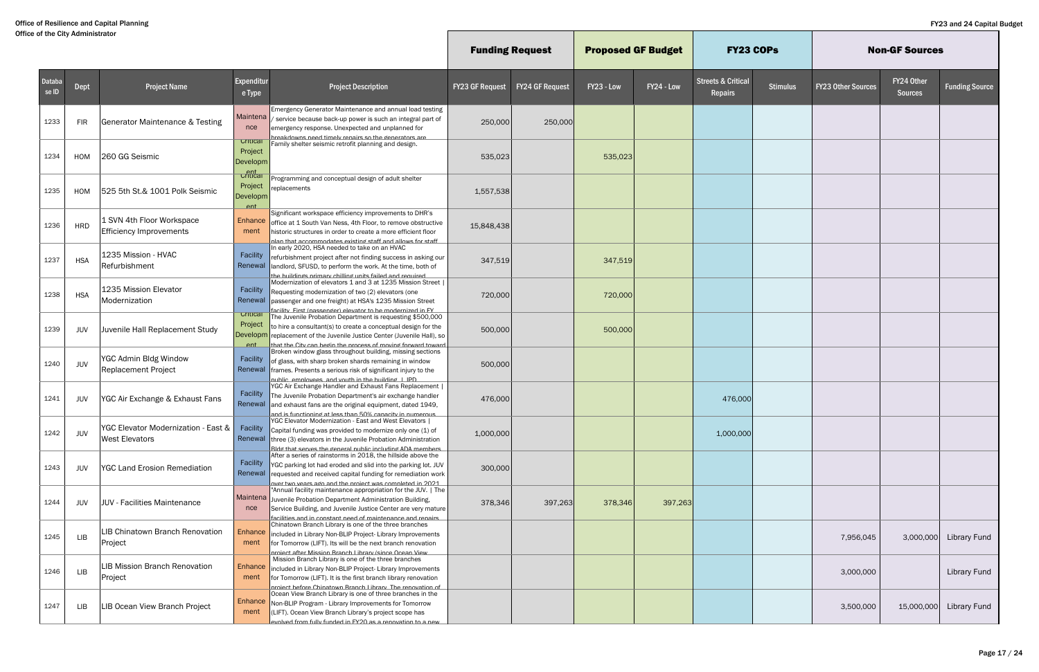|                                 |            |                                                              |                                                    |                                                                                                                                                                                                                                                                  | <b>Funding Request</b> |                        | <b>Proposed GF Budget</b> |            | <b>FY23 COPS</b>                         |                 |                           | <b>Non-GF Sources</b>        |                       |
|---------------------------------|------------|--------------------------------------------------------------|----------------------------------------------------|------------------------------------------------------------------------------------------------------------------------------------------------------------------------------------------------------------------------------------------------------------------|------------------------|------------------------|---------------------------|------------|------------------------------------------|-----------------|---------------------------|------------------------------|-----------------------|
| Databa<br>$\sqrt{\text{se}}$ ID | Dept       | <b>Project Name</b>                                          | <b>Expenditur</b><br>e Type                        | <b>Project Description</b>                                                                                                                                                                                                                                       | <b>FY23 GF Request</b> | <b>FY24 GF Request</b> | FY23 - Low                | FY24 - Low | <b>Streets &amp; Critical</b><br>Repairs | <b>Stimulus</b> | <b>FY23 Other Sources</b> | FY24 Other<br><b>Sources</b> | <b>Funding Source</b> |
| 1233                            | <b>FIR</b> | <b>Generator Maintenance &amp; Testing</b>                   | Maintena<br>nce                                    | Emergency Generator Maintenance and annual load testing<br>service because back-up power is such an integral part of<br>emergency response. Unexpected and unplanned for<br>hreakdowns need timely renairs so the generators are                                 | 250,000                | 250,000                |                           |            |                                          |                 |                           |                              |                       |
| 1234                            | HOM        | 260 GG Seismic                                               | Critical<br>Project<br>Developm                    | Family shelter seismic retrofit planning and design                                                                                                                                                                                                              | 535,023                |                        | 535,023                   |            |                                          |                 |                           |                              |                       |
| 1235                            | HOM        | 525 5th St.& 1001 Polk Seismic                               | Critical<br>Project<br>Developm<br>P <sub>nt</sub> | Programming and conceptual design of adult shelter<br>replacements                                                                                                                                                                                               | 1,557,538              |                        |                           |            |                                          |                 |                           |                              |                       |
| 1236                            | <b>HRD</b> | 1 SVN 4th Floor Workspace<br>Efficiency Improvements         | Enhance<br>ment                                    | Significant workspace efficiency improvements to DHR's<br>office at 1 South Van Ness, 4th Floor, to remove obstructive<br>nistoric structures in order to create a more efficient floor<br>alan that accommodates existing staff and allows for staff            | 15,848,438             |                        |                           |            |                                          |                 |                           |                              |                       |
| 1237                            | <b>HSA</b> | 1235 Mission - HVAC<br>Refurbishment                         | Facility<br>Renewal                                | In early 2020, HSA needed to take on an HVAC<br>refurbishment project after not finding success in asking our<br>landlord, SFUSD, to perform the work. At the time, both of<br><u>the huildings nriman/ chilling units failed and required</u>                   | 347,519                |                        | 347,519                   |            |                                          |                 |                           |                              |                       |
| 1238                            | <b>HSA</b> | 1235 Mission Elevator<br>Modernization                       | Facility<br>Renewal                                | Modernization of elevators 1 and 3 at 1235 Mission Street  <br>Requesting modernization of two (2) elevators (one<br>passenger and one freight) at HSA's 1235 Mission Street<br>facility First (nassenger) elevator to be modernized in FY                       | 720,000                |                        | 720,000                   |            |                                          |                 |                           |                              |                       |
| 1239                            | JUV        | Juvenile Hall Replacement Study                              | Critical<br>Project<br>Developm<br><b>Ant</b>      | The Juvenile Probation Department is requesting \$500,000<br>to hire a consultant(s) to create a conceptual design for the<br>replacement of the Juvenile Justice Center (Juvenile Hall), so<br>that the City can hedin the process of movind forward toward     | 500,000                |                        | 500,000                   |            |                                          |                 |                           |                              |                       |
| 1240                            | <b>JUV</b> | YGC Admin Bldg Window<br><b>Replacement Project</b>          | Facility<br>Renewal                                | Broken window glass throughout building, missing sections<br>of glass, with sharp broken shards remaining in window<br>frames. Presents a serious risk of significant injury to the<br>nublic_employees_and youth in the building   IPD                          | 500,000                |                        |                           |            |                                          |                 |                           |                              |                       |
| 1241                            | JUV        | YGC Air Exchange & Exhaust Fans                              | Facility<br>Renewal                                | YGC Air Exchange Handler and Exhaust Fans Replacement<br>The Juvenile Probation Department's air exchange handler<br>and exhaust fans are the original equipment, dated 1949,<br>and is functioning at less than 50% canacity in numerous.                       | 476,000                |                        |                           |            | 476,000                                  |                 |                           |                              |                       |
| 1242                            | JUV        | YGC Elevator Modernization - East &<br><b>West Elevators</b> | Facility                                           | YGC Elevator Modernization - East and West Elevators<br>Capital funding was provided to modernize only one (1) of<br>Renewal three (3) elevators in the Juvenile Probation Administration<br>Ridd that serves the deneral nublic including ADA members           | 1,000,000              |                        |                           |            | 1,000,000                                |                 |                           |                              |                       |
| 1243                            | JUV        | <b>YGC Land Erosion Remediation</b>                          | Facility                                           | After a series of rainstorms in 2018, the hillside above the<br>YGC parking lot had eroded and slid into the parking lot. JUV<br>Renewal requested and received capital funding for remediation work<br>over two vears ago and the project was completed in 2021 | 300,000                |                        |                           |            |                                          |                 |                           |                              |                       |
| 1244                            | JUV        | JUV - Facilities Maintenance                                 | nce                                                | "Annual facility maintenance appropriation for the JUV.   The<br>Maintena Juvenile Probation Department Administration Building,<br>Service Building, and Juvenile Justice Center are very mature<br>facilities and in constant need of maintenance and renairs  | 378,346                | 397,263                | 378,346                   | 397,263    |                                          |                 |                           |                              |                       |
| 1245                            | LIB        | LIB Chinatown Branch Renovation<br>Project                   | Enhance<br>ment                                    | Chinatown Branch Library is one of the three branches<br>included in Library Non-BLIP Project- Library Improvements<br>for Tomorrow (LIFT). Its will be the next branch renovation<br><u>nroiect after Mission Branch Libran/ (since Ocean View</u>              |                        |                        |                           |            |                                          |                 | 7,956,045                 | 3,000,000                    | <b>Library Fund</b>   |
| 1246                            | LIB        | LIB Mission Branch Renovation<br>Project                     | Enhance<br>ment                                    | Mission Branch Library is one of the three branches<br>included in Library Non-BLIP Project- Library Improvements<br>for Tomorrow (LIFT). It is the first branch library renovation<br>project before Chinatown Branch Library. The renovation of                |                        |                        |                           |            |                                          |                 | 3,000,000                 |                              | <b>Library Fund</b>   |
| 1247                            | LIB        | LIB Ocean View Branch Project                                | Enhance<br>ment                                    | Ocean View Branch Library is one of three branches in the<br>Non-BLIP Program - Library Improvements for Tomorrow<br>(LIFT). Ocean View Branch Library's project scope has<br>evolved from fully funded in FY20 as a renovation to a new                         |                        |                        |                           |            |                                          |                 | 3,500,000                 | 15,000,000                   | <b>Library Fund</b>   |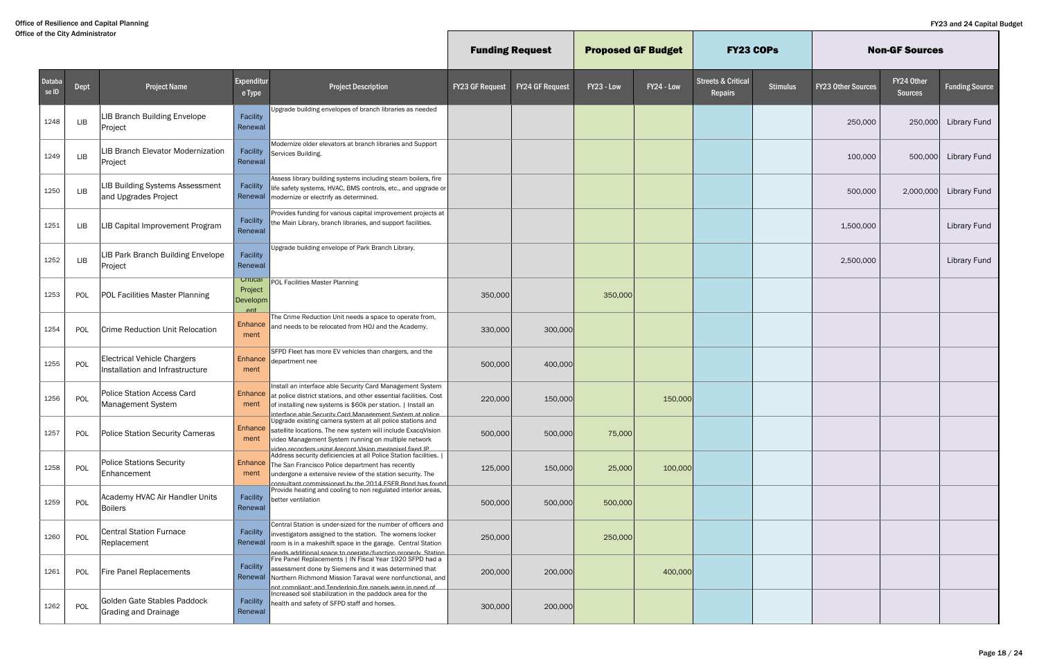|                 |      |                                                                       |                                               |                                                                                                                                                                                                                                                              | <b>Funding Request</b> |                        | <b>Proposed GF Budget</b> |            | <b>FY23 COPs</b>                         |                 |                           | <b>Non-GF Sources</b>        |                       |
|-----------------|------|-----------------------------------------------------------------------|-----------------------------------------------|--------------------------------------------------------------------------------------------------------------------------------------------------------------------------------------------------------------------------------------------------------------|------------------------|------------------------|---------------------------|------------|------------------------------------------|-----------------|---------------------------|------------------------------|-----------------------|
| Databa<br>se ID | Dept | <b>Project Name</b>                                                   | Expenditur<br>e Type                          | <b>Project Description</b>                                                                                                                                                                                                                                   | <b>FY23 GF Request</b> | <b>FY24 GF Request</b> | FY23 - Low                | FY24 - Low | <b>Streets &amp; Critical</b><br>Repairs | <b>Stimulus</b> | <b>FY23 Other Sources</b> | FY24 Other<br><b>Sources</b> | <b>Funding Source</b> |
| 1248            | LIB  | LIB Branch Building Envelope<br>Project                               | Facility<br>Renewal                           | Upgrade building envelopes of branch libraries as needed                                                                                                                                                                                                     |                        |                        |                           |            |                                          |                 | 250,000                   | 250,000                      | <b>Library Fund</b>   |
| 1249            | LIB  | <b>LIB Branch Elevator Modernization</b><br>Project                   | Facility<br>Renewal                           | Modernize older elevators at branch libraries and Support<br>Services Building.                                                                                                                                                                              |                        |                        |                           |            |                                          |                 | 100,000                   | 500,000                      | <b>Library Fund</b>   |
| 1250            | LIB  | LIB Building Systems Assessment<br>and Upgrades Project               | Facility<br>Renewal                           | Assess library building systems including steam boilers, fire<br>life safety systems, HVAC, BMS controls, etc., and upgrade or<br>modernize or electrify as determined.                                                                                      |                        |                        |                           |            |                                          |                 | 500,000                   | 2,000,000                    | <b>Library Fund</b>   |
| 1251            | LIB  | LIB Capital Improvement Program                                       | Facility<br>Renewal                           | Provides funding for various capital improvement projects at<br>the Main Library, branch libraries, and support facilities.                                                                                                                                  |                        |                        |                           |            |                                          |                 | 1,500,000                 |                              | <b>Library Fund</b>   |
| 1252            | LIB  | LIB Park Branch Building Envelope<br>Project                          | Facility<br>Renewal                           | Upgrade building envelope of Park Branch Library.                                                                                                                                                                                                            |                        |                        |                           |            |                                          |                 | 2,500,000                 |                              | <b>Library Fund</b>   |
| 1253            | POL  | POL Facilities Master Planning                                        | Critical<br>Project<br>Developm<br><b>Ant</b> | POL Facilities Master Planning                                                                                                                                                                                                                               | 350,000                |                        | 350,000                   |            |                                          |                 |                           |                              |                       |
| 1254            | POL  | <b>Crime Reduction Unit Relocation</b>                                | Enhance<br>ment                               | The Crime Reduction Unit needs a space to operate from,<br>and needs to be relocated from HOJ and the Academy.                                                                                                                                               | 330,000                | 300,000                |                           |            |                                          |                 |                           |                              |                       |
| 1255            | POL  | <b>Electrical Vehicle Chargers</b><br>Installation and Infrastructure | Enhance<br>ment                               | SFPD Fleet has more EV vehicles than chargers, and the<br>department nee                                                                                                                                                                                     | 500,000                | 400,000                |                           |            |                                          |                 |                           |                              |                       |
| 1256            | POL  | <b>Police Station Access Card</b><br>Management System                | Enhance<br>ment                               | Install an interface able Security Card Management System<br>at police district stations, and other essential facilities. Cost<br>of installing new systems is \$60k per station.   Install an<br>interface able Security Card Management System at nolice   | 220,000                | 150,000                |                           | 150,000    |                                          |                 |                           |                              |                       |
| 1257            | POL  | <b>Police Station Security Cameras</b>                                | Enhance<br>ment                               | Upgrade existing camera system at all police stations and<br>satellite locations. The new system will include ExacqVision<br>video Management System running on multiple network<br>ideo recorders using Arecont Vision meganixel fixed IP                   | 500,000                | 500,000                | 75,000                    |            |                                          |                 |                           |                              |                       |
| 1258            | POL  | <b>Police Stations Security</b><br>Enhancement                        | ment                                          | Address security deficiencies at all Police Station facilities.  <br><b>Enhance</b> The San Francisco Police department has recently<br>undergone a extensive review of the station security. The<br>consultant commissioned by the 2014 FSFR Rond has found | 125,000                | 150,000                | 25,000                    | 100,000    |                                          |                 |                           |                              |                       |
| 1259            | POL  | Academy HVAC Air Handler Units<br><b>Boilers</b>                      | Facility<br>Renewal                           | Provide heating and cooling to non regulated interior areas,<br>better ventilation                                                                                                                                                                           | 500,000                | 500,000                | 500,000                   |            |                                          |                 |                           |                              |                       |
| 1260            | POL  | <b>Central Station Furnace</b><br>Replacement                         | Facility<br>Renewal                           | Central Station is under-sized for the number of officers and<br>investigators assigned to the station. The womens locker<br>room is in a makeshift space in the garage. Central Station<br>needs additional snace to onerate/function properly Station      | 250,000                |                        | 250,000                   |            |                                          |                 |                           |                              |                       |
| 1261            | POL  | Fire Panel Replacements                                               | Facility<br>Renewal                           | Fire Panel Replacements   IN Fiscal Year 1920 SFPD had a<br>assessment done by Siemens and it was determined that<br>Northern Richmond Mission Taraval were nonfunctional, and<br>not compliant: and Tenderloin fire panels were in need of                  | 200,000                | 200,000                |                           | 400,000    |                                          |                 |                           |                              |                       |
| 1262            | POL  | Golden Gate Stables Paddock<br><b>Grading and Drainage</b>            | Facility<br>Renewal                           | Increased soil stabilization in the paddock area for the<br>health and safety of SFPD staff and horses.                                                                                                                                                      | 300,000                | 200,000                |                           |            |                                          |                 |                           |                              |                       |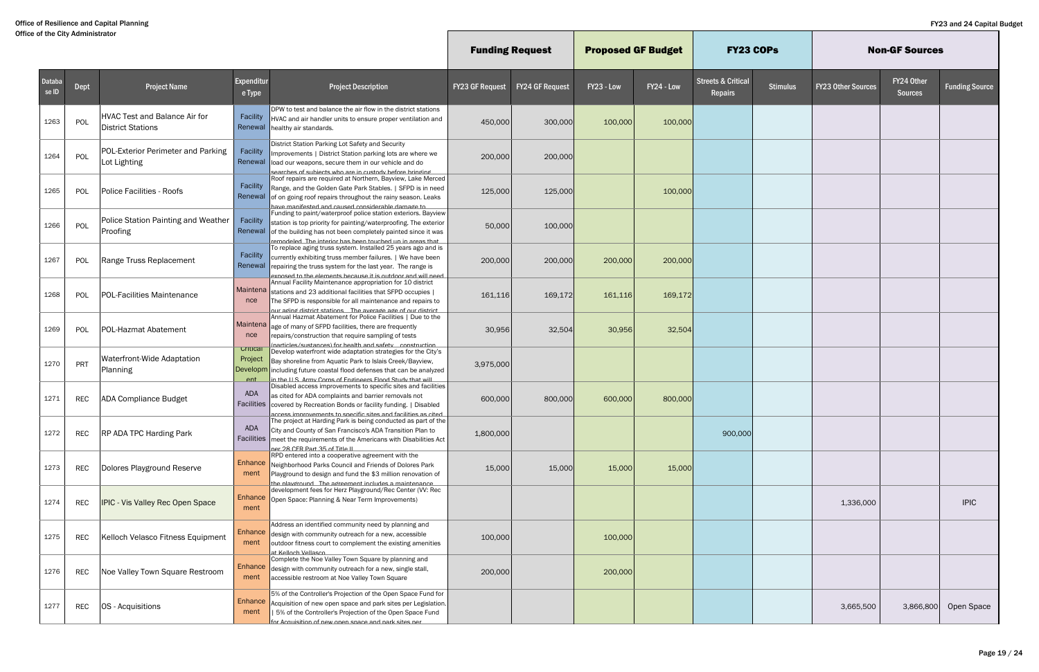|                 |            |                                                                  |                                               |                                                                                                                                                                                                                                                                                           | <b>Funding Request</b> |                        | <b>Proposed GF Budget</b> |            | <b>FY23 COPs</b>                         |                 |                           | <b>Non-GF Sources</b>        |                       |
|-----------------|------------|------------------------------------------------------------------|-----------------------------------------------|-------------------------------------------------------------------------------------------------------------------------------------------------------------------------------------------------------------------------------------------------------------------------------------------|------------------------|------------------------|---------------------------|------------|------------------------------------------|-----------------|---------------------------|------------------------------|-----------------------|
| Databa<br>se ID | Dept       | <b>Project Name</b>                                              | Expenditur<br>e Type                          | <b>Project Description</b>                                                                                                                                                                                                                                                                | <b>FY23 GF Request</b> | <b>FY24 GF Request</b> | FY23 - Low                | FY24 - Low | <b>Streets &amp; Critical</b><br>Repairs | <b>Stimulus</b> | <b>FY23 Other Sources</b> | FY24 Other<br><b>Sources</b> | <b>Funding Source</b> |
| 1263            | POL        | <b>HVAC Test and Balance Air for</b><br><b>District Stations</b> | Facility<br>Renewal                           | DPW to test and balance the air flow in the district stations<br>HVAC and air handler units to ensure proper ventilation and<br>healthy air standards.                                                                                                                                    | 450,000                | 300,000                | 100,000                   | 100,000    |                                          |                 |                           |                              |                       |
| 1264            | POL        | POL-Exterior Perimeter and Parking<br>Lot Lighting               | Facility<br>Renewal                           | District Station Parking Lot Safety and Security<br>Improvements   District Station parking lots are where we<br>load our weapons, secure them in our vehicle and do<br>searches of subjects who are in custody before bringing                                                           | 200,000                | 200,000                |                           |            |                                          |                 |                           |                              |                       |
| 1265            | POL        | Police Facilities - Roofs                                        | Facility                                      | Roof repairs are required at Northern, Bayview, Lake Merced<br>Range, and the Golden Gate Park Stables.   SFPD is in need<br>Renewal of on going roof repairs throughout the rainy season. Leaks<br>ot abamah aldarahiznon hazıran hora hatzafiriran ayar                                 | 125,000                | 125,000                |                           | 100,000    |                                          |                 |                           |                              |                       |
| 1266            | POL        | <b>Police Station Painting and Weather</b><br>Proofing           | Facility                                      | Funding to paint/waterproof police station exteriors. Bayview<br>station is top priority for painting/waterproofing. The exterior<br>Renewal of the building has not been completely painted since it was<br>remodeled. The interior has been touched un in areas that                    | 50,000                 | 100,000                |                           |            |                                          |                 |                           |                              |                       |
| 1267            | POL        | Range Truss Replacement                                          | Facility                                      | To replace aging truss system. Installed 25 years ago and is<br>currently exhibiting truss member failures.   We have been<br>Renewal repairing the truss system for the last year. The range is<br>haan lliw hns nonhtuo zi ti azusaad ztnamala adt of hazonrya                          | 200,000                | 200,000                | 200,000                   | 200,000    |                                          |                 |                           |                              |                       |
| 1268            | POL        | <b>POL-Facilities Maintenance</b>                                | nce                                           | Annual Facility Maintenance appropriation for 10 district<br>Maintena stations and 23 additional facilities that SFPD occupies  <br>The SFPD is responsible for all maintenance and repairs to<br>our adind district stations The averade ade of our district                             | 161,116                | 169,172                | 161,116                   | 169,172    |                                          |                 |                           |                              |                       |
| 1269            | POL        | <b>POL-Hazmat Abatement</b>                                      | nce                                           | Annual Hazmat Abatement for Police Facilities   Due to the<br>$\sqrt{\frac{1}{10}}$ Maintena $\sqrt{\frac{1}{10}}$ age of many of SFPD facilities, there are frequently<br>repairs/construction that require sampling of tests<br>narticles/sustances) for health and safety construction | 30,956                 | 32,504                 | 30,956                    | 32,504     |                                          |                 |                           |                              |                       |
| 1270            | PRT        | Waterfront-Wide Adaptation<br>Planning                           | Critical<br>Project<br>Developm<br><b>Ant</b> | Develop waterfront wide adaptation strategies for the City's<br>Bay shoreline from Aquatic Park to Islais Creek/Bayview,<br>including future coastal flood defenses that can be analyzed<br>the ILS Army Corns of Endineers Flood Study that will                                         | 3,975,000              |                        |                           |            |                                          |                 |                           |                              |                       |
| 1271            | <b>REC</b> | <b>ADA Compliance Budget</b>                                     | ADA<br><b>Facilities</b>                      | Disabled access improvements to specific sites and facilities<br>as cited for ADA complaints and barrier removals not<br>covered by Recreation Bonds or facility funding.   Disabled<br>access improvements to specific sites and facilities as cited                                     | 600,000                | 800,000                | 600,000                   | 800,000    |                                          |                 |                           |                              |                       |
| 1272            | <b>REC</b> | <b>RP ADA TPC Harding Park</b>                                   | ADA<br>Facilities                             | The project at Harding Park is being conducted as part of the<br>City and County of San Francisco's ADA Transition Plan to<br>meet the requirements of the Americans with Disabilities Act<br>ner 28 CFR Part 35 of Title II                                                              | 1,800,000              |                        |                           |            | 900,000                                  |                 |                           |                              |                       |
| 1273            | <b>REC</b> | Dolores Playground Reserve                                       | Enhance  <br>ment                             | RPD entered into a cooperative agreement with the<br>Neighborhood Parks Council and Friends of Dolores Park<br>Playground to design and fund the \$3 million renovation of<br>the nlavernund The aereement includes a maintenance                                                         | 15,000                 | 15,000                 | 15,000                    | 15,000     |                                          |                 |                           |                              |                       |
| 1274            | REC        | <b>IPIC - Vis Valley Rec Open Space</b>                          | ment                                          | development fees for Herz Playground/Rec Center (VV: Rec<br>Enhance Open Space: Planning & Near Term Improvements)                                                                                                                                                                        |                        |                        |                           |            |                                          |                 | 1,336,000                 |                              | <b>IPIC</b>           |
| 1275            | REC        | Kelloch Velasco Fitness Equipment                                | Enhance<br>ment                               | Address an identified community need by planning and<br>design with community outreach for a new, accessible<br>outdoor fitness court to complement the existing amenities<br>at Kelloch Vellasco                                                                                         | 100,000                |                        | 100,000                   |            |                                          |                 |                           |                              |                       |
| 1276            | REC        | Noe Valley Town Square Restroom                                  | Enhance<br>ment                               | Complete the Noe Valley Town Square by planning and<br>design with community outreach for a new, single stall,<br>accessible restroom at Noe Valley Town Square                                                                                                                           | 200,000                |                        | 200,000                   |            |                                          |                 |                           |                              |                       |
| 1277            | REC        | OS - Acquisitions                                                | <b>Enhance</b><br>ment                        | 5% of the Controller's Projection of the Open Space Fund for<br>Acquisition of new open space and park sites per Legislation.<br>5% of the Controller's Projection of the Open Space Fund<br><u>for Acquisition of new onen snace and nark sites ner</u>                                  |                        |                        |                           |            |                                          |                 | 3,665,500                 | 3,866,800                    | Open Space            |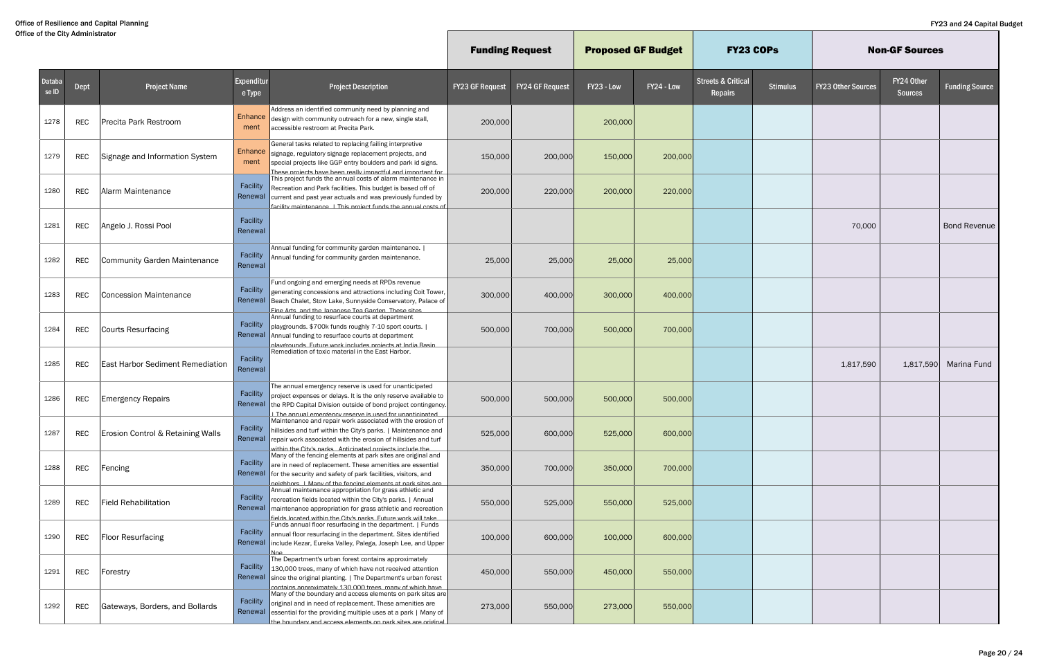|                 |            |                                              |                        |                                                                                                                                                                                                                                                                   |                        | <b>Funding Request</b> | <b>Proposed GF Budget</b> |            | <b>FY23 COPS</b>                         |                 |                           | <b>Non-GF Sources</b>        |                       |
|-----------------|------------|----------------------------------------------|------------------------|-------------------------------------------------------------------------------------------------------------------------------------------------------------------------------------------------------------------------------------------------------------------|------------------------|------------------------|---------------------------|------------|------------------------------------------|-----------------|---------------------------|------------------------------|-----------------------|
| Databa<br>se ID | Dept       | <b>Project Name</b>                          | Expenditur<br>e Type   | <b>Project Description</b>                                                                                                                                                                                                                                        | <b>FY23 GF Request</b> | <b>FY24 GF Request</b> | FY23 - Low                | FY24 - Low | <b>Streets &amp; Critical</b><br>Repairs | <b>Stimulus</b> | <b>FY23 Other Sources</b> | FY24 Other<br><b>Sources</b> | <b>Funding Source</b> |
| 1278            | <b>REC</b> | Precita Park Restroom                        | <b>Enhance</b><br>ment | Address an identified community need by planning and<br>design with community outreach for a new, single stall,<br>accessible restroom at Precita Park.                                                                                                           | 200,000                |                        | 200,000                   |            |                                          |                 |                           |                              |                       |
| 1279            | REC        | Signage and Information System               | ment                   | General tasks related to replacing failing interpretive<br>Enhance signage, regulatory signage replacement projects, and<br>special projects like GGP entry boulders and park id signs.<br>These projects have been really impactful and important for            | 150,000                | 200,000                | 150,000                   | 200,000    |                                          |                 |                           |                              |                       |
| 1280            | <b>REC</b> | Alarm Maintenance                            | Facility<br>Renewal    | This project funds the annual costs of alarm maintenance in<br>Recreation and Park facilities. This budget is based off of<br>current and past year actuals and was previously funded by<br>facility maintenance I This project funds the annual costs of         | 200,000                | 220,000                | 200,000                   | 220,000    |                                          |                 |                           |                              |                       |
| 1281            | <b>REC</b> | Angelo J. Rossi Pool                         | Facility<br>Renewal    |                                                                                                                                                                                                                                                                   |                        |                        |                           |            |                                          |                 | 70,000                    |                              | <b>Bond Revenue</b>   |
| 1282            | <b>REC</b> | <b>Community Garden Maintenance</b>          | Facility<br>Renewal    | Annual funding for community garden maintenance.  <br>Annual funding for community garden maintenance.                                                                                                                                                            | 25,000                 | 25,000                 | 25,000                    | 25,000     |                                          |                 |                           |                              |                       |
| 1283            | <b>REC</b> | <b>Concession Maintenance</b>                | Facility<br>Renewal    | Fund ongoing and emerging needs at RPDs revenue<br>generating concessions and attractions including Coit Tower,<br>Beach Chalet, Stow Lake, Sunnyside Conservatory, Palace of<br>Fine Arts, and the Jananese Tea Garden, These sites                              | 300,000                | 400,000                | 300,000                   | 400,000    |                                          |                 |                           |                              |                       |
| 1284            | <b>REC</b> | Courts Resurfacing                           | Facility<br>Renewal    | Annual funding to resurface courts at department<br>playgrounds. \$700k funds roughly 7-10 sport courts.  <br>Annual funding to resurface courts at department<br>nlavernunds. Future work includes projects at India Rasin                                       | 500,000                | 700,000                | 500,000                   | 700,000    |                                          |                 |                           |                              |                       |
| 1285            | <b>REC</b> | <b>East Harbor Sediment Remediation</b>      | Facility<br>Renewal    | Remediation of toxic material in the East Harbor.                                                                                                                                                                                                                 |                        |                        |                           |            |                                          |                 | 1,817,590                 | 1,817,590                    | Marina Fund           |
| 1286            | <b>REC</b> | <b>Emergency Repairs</b>                     | Facility<br>Renewal    | The annual emergency reserve is used for unanticipated<br>project expenses or delays. It is the only reserve available to<br>the RPD Capital Division outside of bond project contingency.<br>I The annual emergency reserve is used for unanticinated            | 500,000                | 500,000                | 500,000                   | 500,000    |                                          |                 |                           |                              |                       |
| 1287            | <b>REC</b> | <b>Erosion Control &amp; Retaining Walls</b> | Facility<br>Renewal    | Maintenance and repair work associated with the erosion of<br>hillsides and turf within the City's parks.   Maintenance and<br>repair work associated with the erosion of hillsides and turf<br>within the City's narks Anticinated projects include the          | 525,000                | 600,000                | 525,000                   | 600,000    |                                          |                 |                           |                              |                       |
| 1288            | REC        | Fencing                                      | Facility               | Many of the fencing elements at park sites are original and<br>are in need of replacement. These amenities are essential<br>Renewal   for the security and safety of park facilities, visitors, and<br>neighhors I Many of the fencing elements at nark sites are | 350,000                | 700,000                | 350,000                   | 700,000    |                                          |                 |                           |                              |                       |
| 1289            | <b>REC</b> | <b>Field Rehabilitation</b>                  | Facility               | Annual maintenance appropriation for grass athletic and<br>recreation fields located within the City's parks.   Annual<br>Renewal   maintenance appropriation for grass athletic and recreation<br>fields located within the City's narks. Future work will take  | 550,000                | 525,000                | 550,000                   | 525,000    |                                          |                 |                           |                              |                       |
| 1290            | REC        | <b>Floor Resurfacing</b>                     | Facility<br>Renewal    | Funds annual floor resurfacing in the department.   Funds<br>annual floor resurfacing in the department. Sites identified<br>include Kezar, Eureka Valley, Palega, Joseph Lee, and Upper<br><u> Nne</u>                                                           | 100,000                | 600,000                | 100,000                   | 600,000    |                                          |                 |                           |                              |                       |
| 1291            | REC        | Forestry                                     | Facility               | The Department's urban forest contains approximately<br>130,000 trees, many of which have not received attention<br>Renewal since the original planting.   The Department's urban forest<br>contains annroximately 130,000 trees, many of which have              | 450,000                | 550,000                | 450,000                   | 550,000    |                                          |                 |                           |                              |                       |
| 1292            | REC        | Gateways, Borders, and Bollards              | Facility<br>Renewal    | Many of the boundary and access elements on park sites are<br>original and in need of replacement. These amenities are<br>essential for the providing multiple uses at a park   Many of<br>the houndary and access elements on nark sites are original            | 273,000                | 550,000                | 273,000                   | 550,000    |                                          |                 |                           |                              |                       |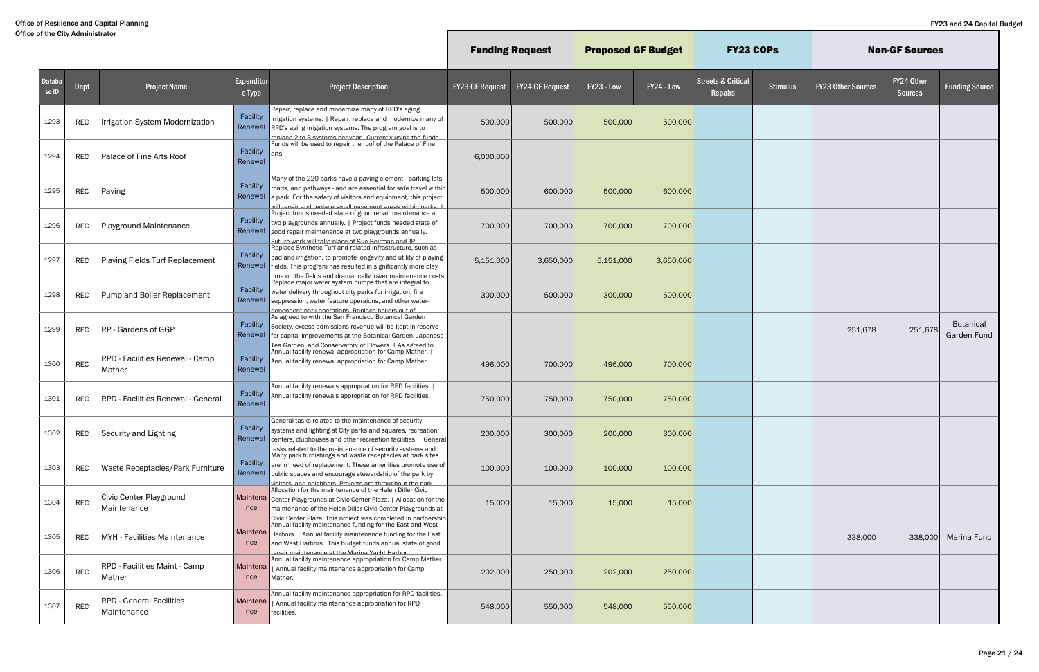|                        |            |                                                  |                      |                                                                                                                                                                                                                                                                      |                        | <b>Funding Request</b> | <b>Proposed GF Budget</b> |            | <b>FY23 COPS</b>                         |                 |                           | <b>Non-GF Sources</b>        |                                 |
|------------------------|------------|--------------------------------------------------|----------------------|----------------------------------------------------------------------------------------------------------------------------------------------------------------------------------------------------------------------------------------------------------------------|------------------------|------------------------|---------------------------|------------|------------------------------------------|-----------------|---------------------------|------------------------------|---------------------------------|
| <b>Databa</b><br>se ID | Dept       | <b>Project Name</b>                              | Expenditur<br>e Type | <b>Project Description</b>                                                                                                                                                                                                                                           | <b>FY23 GF Request</b> | <b>FY24 GF Request</b> | FY23 - Low                | FY24 - Low | <b>Streets &amp; Critical</b><br>Repairs | <b>Stimulus</b> | <b>FY23 Other Sources</b> | FY24 Other<br><b>Sources</b> | <b>Funding Source</b>           |
| 1293                   | <b>REC</b> | Irrigation System Modernization                  | Facility<br>Renewal  | Repair, replace and modernize many of RPD's aging<br>irrigation systems.   Repair, replace and modernize many of<br>RPD's aging irrigation systems. The program goal is to<br>replace 2 to 3 systems per year. Currently using the funds                             | 500,000                | 500,000                | 500,000                   | 500,000    |                                          |                 |                           |                              |                                 |
| 1294                   | REC        | Palace of Fine Arts Roof                         | Facility<br>Renewal  | Funds will be used to repair the roof of the Palace of Fine<br>arts                                                                                                                                                                                                  | 6,000,000              |                        |                           |            |                                          |                 |                           |                              |                                 |
| 1295                   | REC        | Paving                                           | Facility<br>Renewal  | Many of the 220 parks have a paving element - parking lots,<br>roads, and pathways - and are essential for safe travel within<br>a park. For the safety of visitors and equipment, this project<br>will renair and renlace small navement areas within narks         | 500,000                | 600,000                | 500,000                   | 600,000    |                                          |                 |                           |                              |                                 |
| 1296                   | <b>REC</b> | Playground Maintenance                           | Facility<br>Renewal  | Project funds needed state of good repair maintenance at<br>two playgrounds annually.   Project funds needed state of<br>good repair maintenance at two playgrounds annually.<br>Future work will take place at Sue Beirman and IP                                   | 700,000                | 700,000                | 700,000                   | 700,000    |                                          |                 |                           |                              |                                 |
| 1297                   | <b>REC</b> | Playing Fields Turf Replacement                  | <b>Facility</b>      | Replace Synthetic Turf and related infrastructure, such as<br>pad and irrigation, to promote longevity and utility of playing<br>Renewal fields. This program has resulted in significantly more play<br>time on the fields and dramatically lower maintenance costs | 5,151,000              | 3,650,000              | 5,151,000                 | 3,650,000  |                                          |                 |                           |                              |                                 |
| 1298                   | REC        | Pump and Boiler Replacement                      | Facility<br>Renewal  | Replace major water system pumps that are integral to<br>water delivery throughout city parks for irrigation, fire<br>suppression, water feature operaions, and other water-<br>denendent nark onerations. Renlace hoilers out of                                    | 300,000                | 500,000                | 300,000                   | 500,000    |                                          |                 |                           |                              |                                 |
| 1299                   | <b>REC</b> | <b>RP</b> - Gardens of GGP                       | Facility             | As agreed to with the San Francisco Botanical Garden<br>Society, excess admissions revenue will be kept in reserve<br>Renewal for capital improvements at the Botanical Garden, Japanese<br>Tea Garden, and Conservatory of Flowers, I As agreed to                  |                        |                        |                           |            |                                          |                 | 251,678                   | 251,678                      | <b>Botanical</b><br>Garden Fund |
| 1300                   | <b>REC</b> | <b>RPD</b> - Facilities Renewal - Camp<br>Mather | Facility<br>Renewal  | Annual facility renewal appropriation for Camp Mather.  <br>Annual facility renewal appropriation for Camp Mather.                                                                                                                                                   | 496,000                | 700,000                | 496,000                   | 700,000    |                                          |                 |                           |                              |                                 |
| 1301                   | REC        | <b>RPD</b> - Facilities Renewal - General        | Facility<br>Renewal  | Annual facility renewals appropriation for RPD facilities.  <br>Annual facility renewals appropriation for RPD facilities.                                                                                                                                           | 750,000                | 750,000                | 750,000                   | 750,000    |                                          |                 |                           |                              |                                 |
| 1302                   | <b>REC</b> | Security and Lighting                            | Facility             | General tasks related to the maintenance of security<br>systems and lighting at City parks and squares, recreation<br>Renewal centers, clubhouses and other recreation facilities.   General<br>tasks related to the maintenance of security systems and             | 200,000                | 300,000                | 200,000                   | 300,000    |                                          |                 |                           |                              |                                 |
| 1303                   | REC        | Waste Receptacles/Park Furniture                 | Facility<br>Renewal  | Many park furnishings and waste receptacles at park sites<br>are in need of replacement. These amenities promote use of<br>public spaces and encourage stewardship of the park by<br>visitors and neighbors. Projects are throughout the nark                        | 100,000                | 100,000                | 100,000                   | 100,000    |                                          |                 |                           |                              |                                 |
| 1304                   | <b>REC</b> | Civic Center Playground<br>Maintenance           | nce                  | Allocation for the maintenance of the Helen Diller Civic<br>Maintena Center Playgrounds at Civic Center Plaza.   Allocation for the<br>maintenance of the Helen Diller Civic Center Playgrounds at<br>Civic Center Plaza This project was completed in partnership   | 15,000                 | 15,000                 | 15,000                    | 15,000     |                                          |                 |                           |                              |                                 |
| 1305                   | REC        | MYH - Facilities Maintenance                     | nce                  | Annual facility maintenance funding for the East and West<br>Maintena   Harbors.   Annual facility maintenance funding for the East<br>and West Harbors. This budget funds annual state of good<br>renair maintenance at the Marina Yacht Harhor                     |                        |                        |                           |            |                                          |                 | 338,000                   | 338,000                      | Marina Fund                     |
| 1306                   | <b>REC</b> | <b>RPD - Facilities Maint - Camp</b><br>Mather   | Maintena<br>nce      | Annual facility maintenance appropriation for Camp Mather.<br>  Annual facility maintenance appropriation for Camp<br>Mather.                                                                                                                                        | 202,000                | 250,000                | 202,000                   | 250,000    |                                          |                 |                           |                              |                                 |
| 1307                   | REC        | <b>RPD - General Facilities</b><br>Maintenance   | Maintena<br>nce      | Annual facility maintenance appropriation for RPD facilities.<br>Annual facility maintenance appropriation for RPD<br>facilities.                                                                                                                                    | 548,000                | 550,000                | 548,000                   | 550,000    |                                          |                 |                           |                              |                                 |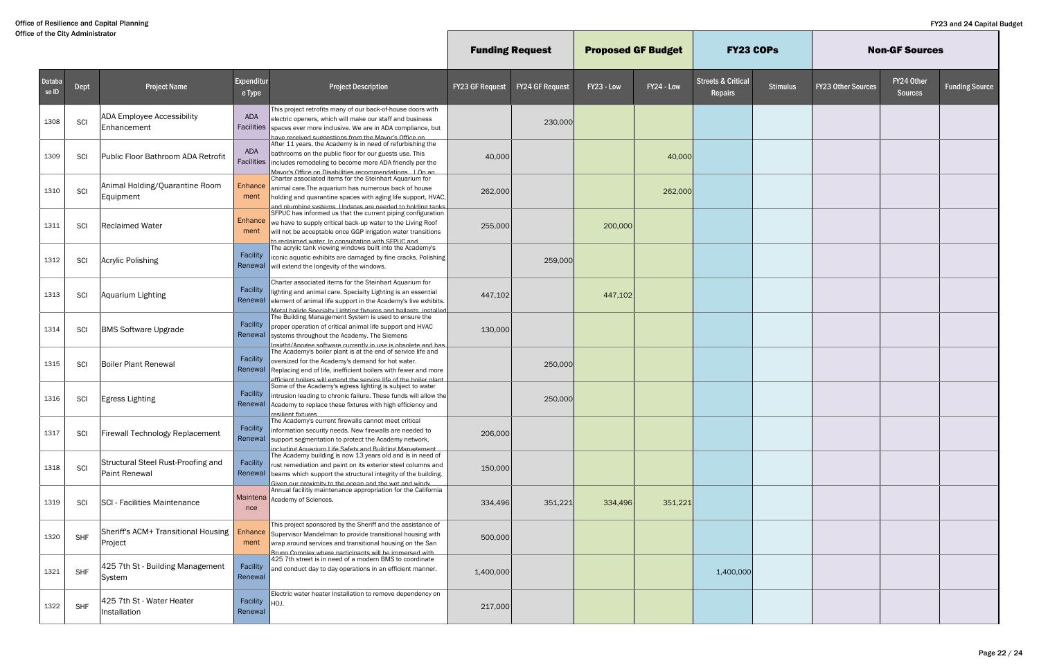|                        |            |                                                     |                      |                                                                                                                                                                                                                                                                      | <b>Funding Request</b> |                        | <b>Proposed GF Budget</b> |            | <b>FY23 COPS</b>                         |                 |                           | <b>Non-GF Sources</b>        |                       |
|------------------------|------------|-----------------------------------------------------|----------------------|----------------------------------------------------------------------------------------------------------------------------------------------------------------------------------------------------------------------------------------------------------------------|------------------------|------------------------|---------------------------|------------|------------------------------------------|-----------------|---------------------------|------------------------------|-----------------------|
| <b>Databa</b><br>se ID | Dept       | <b>Project Name</b>                                 | Expenditur<br>e Type | <b>Project Description</b>                                                                                                                                                                                                                                           | <b>FY23 GF Request</b> | <b>FY24 GF Request</b> | FY23 - Low                | FY24 - Low | <b>Streets &amp; Critical</b><br>Repairs | <b>Stimulus</b> | <b>FY23 Other Sources</b> | FY24 Other<br><b>Sources</b> | <b>Funding Source</b> |
| 1308                   | SCI        | ADA Employee Accessibility<br>Enhancement           | ADA<br>Facilities    | This project retrofits many of our back-of-house doors with<br>electric openers, which will make our staff and business<br>spaces ever more inclusive. We are in ADA compliance, but<br>have received suddestions from the Mavor's Office on                         |                        | 230,000                |                           |            |                                          |                 |                           |                              |                       |
| 1309                   | SCI        | Public Floor Bathroom ADA Retrofit                  | ADA                  | After 11 years, the Academy is in need of refurbishing the<br>bathrooms on the public floor for our guests use. This<br>Facilities includes remodeling to become more ADA friendly per the<br>Mavor's Office on Disabilities recommendations   On an                 | 40,000                 |                        |                           | 40,000     |                                          |                 |                           |                              |                       |
| 1310                   | SCI        | Animal Holding/Quarantine Room<br>Equipment         | Enhance<br>ment      | Charter associated items for the Steinhart Aquarium for<br>animal care. The aquarium has numerous back of house<br>holding and quarantine spaces with aging life support, HVAC,<br>and nlumhing systems. Hindates are needed to holding tanks                        | 262,000                |                        |                           | 262,000    |                                          |                 |                           |                              |                       |
| 1311                   | SCI        | <b>Reclaimed Water</b>                              | Enhance<br>ment      | SFPUC has informed us that the current piping configuration<br>we have to supply critical back-up water to the Living Roof<br>will not be acceptable once GGP irrigation water transitions<br>to reclaimed water. In consultation with SEPHC and                     | 255,000                |                        | 200,000                   |            |                                          |                 |                           |                              |                       |
| 1312                   | SCI        | Acrylic Polishing                                   | Facility<br>Renewal  | The acrylic tank viewing windows built into the Academy's<br>iconic aquatic exhibits are damaged by fine cracks. Polishing<br>will extend the longevity of the windows.                                                                                              |                        | 259,000                |                           |            |                                          |                 |                           |                              |                       |
| 1313                   | SCI        | Aquarium Lighting                                   | Facility<br>Renewal  | Charter associated items for the Steinhart Aquarium for<br>lighting and animal care. Specialty Lighting is an essential<br>element of animal life support in the Academy's live exhibits.<br>Metal halide Snecialty Lighting fixtures and hallasts installed         | 447,102                |                        | 447,102                   |            |                                          |                 |                           |                              |                       |
| 1314                   | SCI        | <b>BMS Software Upgrade</b>                         | Facility<br>Renewal  | The Building Management System is used to ensure the<br>proper operation of critical animal life support and HVAC<br>systems throughout the Academy. The Siemens<br>nsidht/Anndee software currently in use is obsolete and has                                      | 130,000                |                        |                           |            |                                          |                 |                           |                              |                       |
| 1315                   | SCI        | <b>Boiler Plant Renewal</b>                         | Facility<br>Renewal  | The Academy's boiler plant is at the end of service life and<br>oversized for the Academy's demand for hot water.<br>Replacing end of life, inefficient boilers with fewer and more<br>efficient hoilers will extend the service life of the hoiler nlant            |                        | 250,000                |                           |            |                                          |                 |                           |                              |                       |
| 1316                   | SCI        | <b>Egress Lighting</b>                              | Facility<br>Renewal  | Some of the Academy's egress lighting is subject to water<br>intrusion leading to chronic failure. These funds will allow the<br>Academy to replace these fixtures with high efficiency and<br>resilient fixtures                                                    |                        | 250,000                |                           |            |                                          |                 |                           |                              |                       |
| 1317                   | SCI        | Firewall Technology Replacement                     | Facility             | The Academy's current firewalls cannot meet critical<br>information security needs. New firewalls are needed to<br>Renewal support segmentation to protect the Academy network,<br>including Aguarium Life Safety and Ruilding Management                            | 206,000                |                        |                           |            |                                          |                 |                           |                              |                       |
| 1318                   | SCI        | Structural Steel Rust-Proofing and<br>Paint Renewal | Facility             | The Academy building is now 13 years old and is in need of<br>rust remediation and paint on its exterior steel columns and<br>Renewal beams which support the structural integrity of the building.<br><u>Given our provimity to the ocean and the wet and windy</u> | 150,000                |                        |                           |            |                                          |                 |                           |                              |                       |
| 1319                   | SCI        | <b>SCI</b> - Facilities Maintenance                 | nce                  | Annual facilitiy maintenance appropriation for the California<br>Maintena Academy of Sciences.                                                                                                                                                                       | 334,496                | 351,221                | 334,496                   | 351,221    |                                          |                 |                           |                              |                       |
| 1320                   | SHF        | Sheriff's ACM+ Transitional Housing<br>Project      | Enhance<br>ment      | This project sponsored by the Sheriff and the assistance of<br>Supervisor Mandelman to provide transitional housing with<br>wrap around services and transitional housing on the San<br>Rruno Complex where participants will be immersed with                       | 500,000                |                        |                           |            |                                          |                 |                           |                              |                       |
| 1321                   | <b>SHF</b> | 425 7th St - Building Management<br>System          | Facility<br>Renewal  | 425 7th street is in need of a modern BMS to coordinate<br>and conduct day to day operations in an efficient manner.                                                                                                                                                 | 1,400,000              |                        |                           |            | 1,400,000                                |                 |                           |                              |                       |
| 1322                   | SHF        | 425 7th St - Water Heater<br>Installation           | Facility<br>Renewal  | Electric water heater Installation to remove dependency on<br>HOJ.                                                                                                                                                                                                   | 217,000                |                        |                           |            |                                          |                 |                           |                              |                       |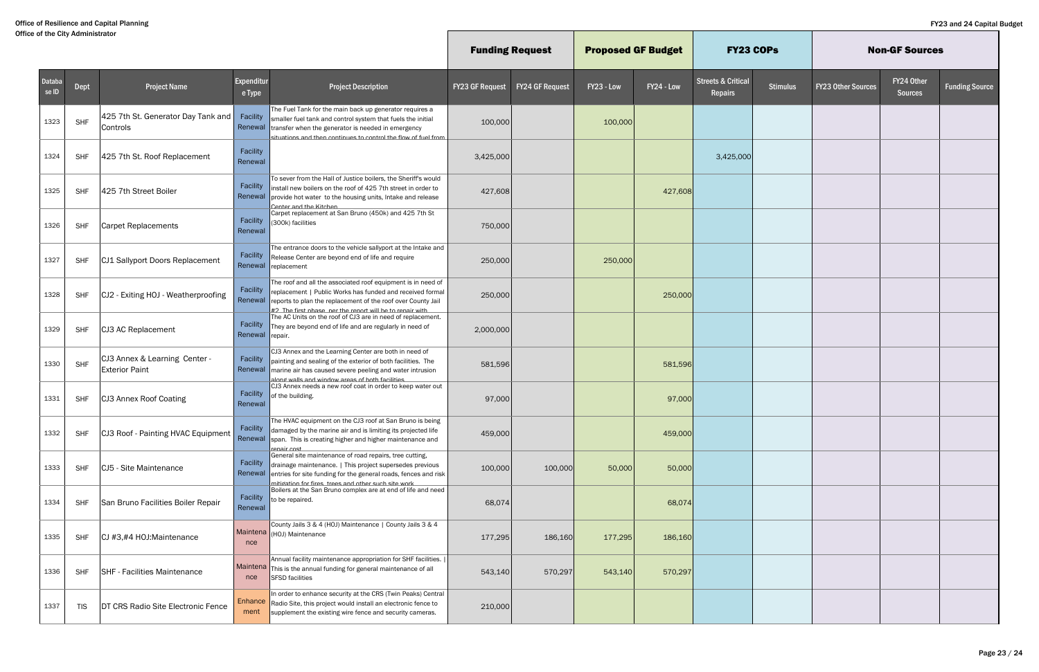|                        |            |                                                        |                        |                                                                                                                                                                                                                                                                 | <b>Funding Request</b> |                        | <b>Proposed GF Budget</b> |            | <b>FY23 COPS</b>                                |                 |                           | <b>Non-GF Sources</b>        |                       |
|------------------------|------------|--------------------------------------------------------|------------------------|-----------------------------------------------------------------------------------------------------------------------------------------------------------------------------------------------------------------------------------------------------------------|------------------------|------------------------|---------------------------|------------|-------------------------------------------------|-----------------|---------------------------|------------------------------|-----------------------|
| <b>Databa</b><br>se ID | Dept       | Project Name                                           | Expenditur<br>e Type   | <b>Project Description</b>                                                                                                                                                                                                                                      | <b>FY23 GF Request</b> | <b>FY24 GF Request</b> | FY23 - Low                | FY24 - Low | <b>Streets &amp; Critical</b><br><b>Repairs</b> | <b>Stimulus</b> | <b>FY23 Other Sources</b> | FY24 Other<br><b>Sources</b> | <b>Funding Source</b> |
| 1323                   | <b>SHF</b> | 425 7th St. Generator Day Tank and<br>Controls         |                        | The Fuel Tank for the main back up generator requires a<br>Facility smaller fuel tank and control system that fuels the initial<br>Renewal transfer when the generator is needed in emergency<br>situations and then continues to control the flow of fuel from | 100,000                |                        | 100,000                   |            |                                                 |                 |                           |                              |                       |
| 1324                   | <b>SHF</b> | 425 7th St. Roof Replacement                           | Facility<br>Renewal    |                                                                                                                                                                                                                                                                 | 3,425,000              |                        |                           |            | 3,425,000                                       |                 |                           |                              |                       |
| 1325                   | <b>SHF</b> | 425 7th Street Boiler                                  | Facility<br>Renewal    | To sever from the Hall of Justice boilers, the Sheriff's would<br>install new boilers on the roof of 425 7th street in order to<br>provide hot water to the housing units, Intake and release<br>Center and the Kitchen                                         | 427,608                |                        |                           | 427,608    |                                                 |                 |                           |                              |                       |
| 1326                   | SHF        | <b>Carpet Replacements</b>                             | Facility<br>Renewal    | Carpet replacement at San Bruno (450k) and 425 7th St<br>(300k) facilities                                                                                                                                                                                      | 750,000                |                        |                           |            |                                                 |                 |                           |                              |                       |
| 1327                   | <b>SHF</b> | CJ1 Sallyport Doors Replacement                        | Facility               | The entrance doors to the vehicle sallyport at the Intake and<br>Release Center are beyond end of life and require<br>Renewal replacement                                                                                                                       | 250,000                |                        | 250,000                   |            |                                                 |                 |                           |                              |                       |
| 1328                   | <b>SHF</b> | CJ2 - Exiting HOJ - Weatherproofing                    | Facility<br>Renewal    | The roof and all the associated roof equipment is in need of<br>replacement   Public Works has funded and received formal<br>reports to plan the replacement of the roof over County Jail<br>#2 The first nhase ner the renort will he to renair with           | 250,000                |                        |                           | 250,000    |                                                 |                 |                           |                              |                       |
| 1329                   | <b>SHF</b> | CJ3 AC Replacement                                     | Renewal repair.        | The AC Units on the roof of CJ3 are in need of replacement.<br>Facility $\ $ They are beyond end of life and are regularly in need of                                                                                                                           | 2,000,000              |                        |                           |            |                                                 |                 |                           |                              |                       |
| 1330                   | <b>SHF</b> | CJ3 Annex & Learning Center -<br><b>Exterior Paint</b> | Facility<br>Renewal    | CJ3 Annex and the Learning Center are both in need of<br>painting and sealing of the exterior of both facilities. The<br>marine air has caused severe peeling and water intrusion<br>along walls and window areas of both facilities                            | 581,596                |                        |                           | 581,596    |                                                 |                 |                           |                              |                       |
| 1331                   | <b>SHF</b> | CJ3 Annex Roof Coating                                 | Facility<br>Renewal    | CJ3 Annex needs a new roof coat in order to keep water out<br>of the building.                                                                                                                                                                                  | 97,000                 |                        |                           | 97,000     |                                                 |                 |                           |                              |                       |
| 1332                   | <b>SHF</b> | CJ3 Roof - Painting HVAC Equipment                     | Facility               | The HVAC equipment on the CJ3 roof at San Bruno is being<br>damaged by the marine air and is limiting its projected life<br>Renewal span. This is creating higher and higher maintenance and<br>renair cost                                                     | 459,000                |                        |                           | 459,000    |                                                 |                 |                           |                              |                       |
| 1333                   | SHF        | CJ5 - Site Maintenance                                 |                        | General site maintenance of road repairs, tree cutting,<br>Facility drainage maintenance.   This project supersedes previous<br>Renewal entries for site funding for the general roads, fences and risk<br>mitidation for fires trees and other such site work  | 100,000                | 100,000                | 50,000                    | 50,000     |                                                 |                 |                           |                              |                       |
| 1334                   | <b>SHF</b> | San Bruno Facilities Boiler Repair                     | Renewal                | Boilers at the San Bruno complex are at end of life and need<br>Facility $\vert$ to be repaired.                                                                                                                                                                | 68,074                 |                        |                           | 68,074     |                                                 |                 |                           |                              |                       |
| 1335                   | <b>SHF</b> | CJ #3,#4 HOJ:Maintenance                               | nce                    | County Jails 3 & 4 (HOJ) Maintenance   County Jails 3 & 4<br>Maintena (HOJ) Maintenance                                                                                                                                                                         | 177,295                | 186,160                | 177,295                   | 186,160    |                                                 |                 |                           |                              |                       |
| 1336                   | <b>SHF</b> | SHF - Facilities Maintenance                           | nce                    | Annual facility maintenance appropriation for SHF facilities.<br>$M$ aintena $ $ This is the annual funding for general maintenance of all<br><b>SFSD</b> facilities                                                                                            | 543,140                | 570,297                | 543,140                   | 570,297    |                                                 |                 |                           |                              |                       |
| 1337                   | <b>TIS</b> | DT CRS Radio Site Electronic Fence                     | <b>Enhance</b><br>ment | In order to enhance security at the CRS (Twin Peaks) Central<br>Radio Site, this project would install an electronic fence to<br>supplement the existing wire fence and security cameras.                                                                       | 210,000                |                        |                           |            |                                                 |                 |                           |                              |                       |